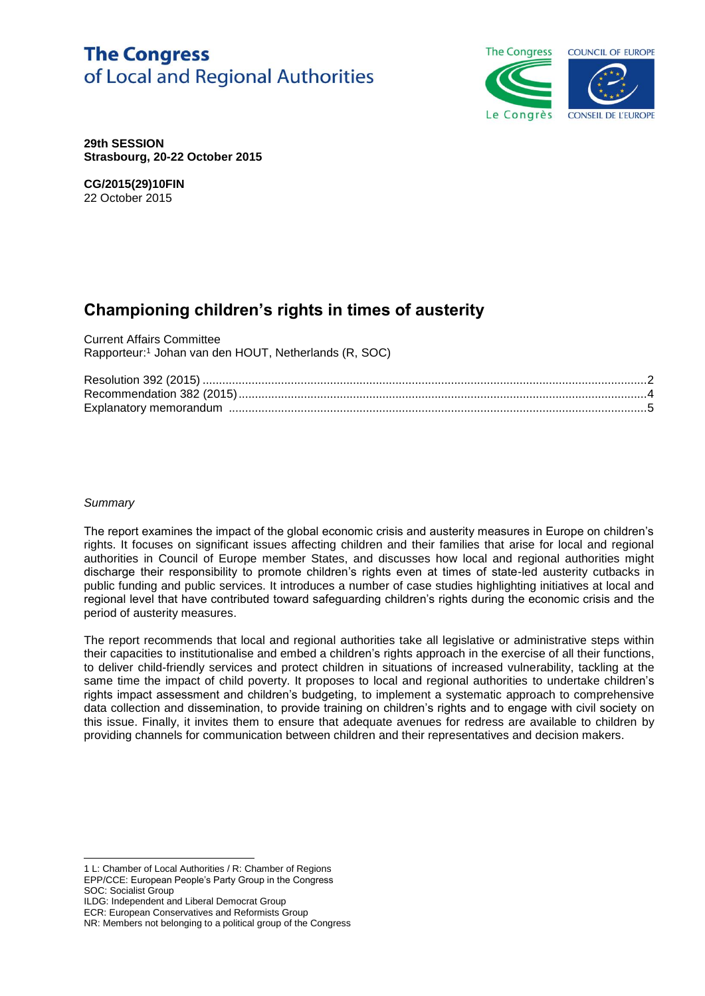# **The Congress** of Local and Regional Authorities



**29th SESSION Strasbourg, 20-22 October 2015**

**CG/2015(29)10FIN** 22 October 2015

# **Championing children's rights in times of austerity**

Current Affairs Committee Rapporteur:<sup>1</sup> Johan van den HOUT, Netherlands (R, SOC)

#### *Summary*

l

The report examines the impact of the global economic crisis and austerity measures in Europe on children's rights. It focuses on significant issues affecting children and their families that arise for local and regional authorities in Council of Europe member States, and discusses how local and regional authorities might discharge their responsibility to promote children's rights even at times of state-led austerity cutbacks in public funding and public services. It introduces a number of case studies highlighting initiatives at local and regional level that have contributed toward safeguarding children's rights during the economic crisis and the period of austerity measures.

The report recommends that local and regional authorities take all legislative or administrative steps within their capacities to institutionalise and embed a children's rights approach in the exercise of all their functions, to deliver child-friendly services and protect children in situations of increased vulnerability, tackling at the same time the impact of child poverty. It proposes to local and regional authorities to undertake children's rights impact assessment and children's budgeting, to implement a systematic approach to comprehensive data collection and dissemination, to provide training on children's rights and to engage with civil society on this issue. Finally, it invites them to ensure that adequate avenues for redress are available to children by providing channels for communication between children and their representatives and decision makers.

<sup>1</sup> L: Chamber of Local Authorities / R: Chamber of Regions EPP/CCE: European People's Party Group in the Congress SOC: Socialist Group

ILDG: Independent and Liberal Democrat Group

ECR: European Conservatives and Reformists Group

NR: Members not belonging to a political group of the Congress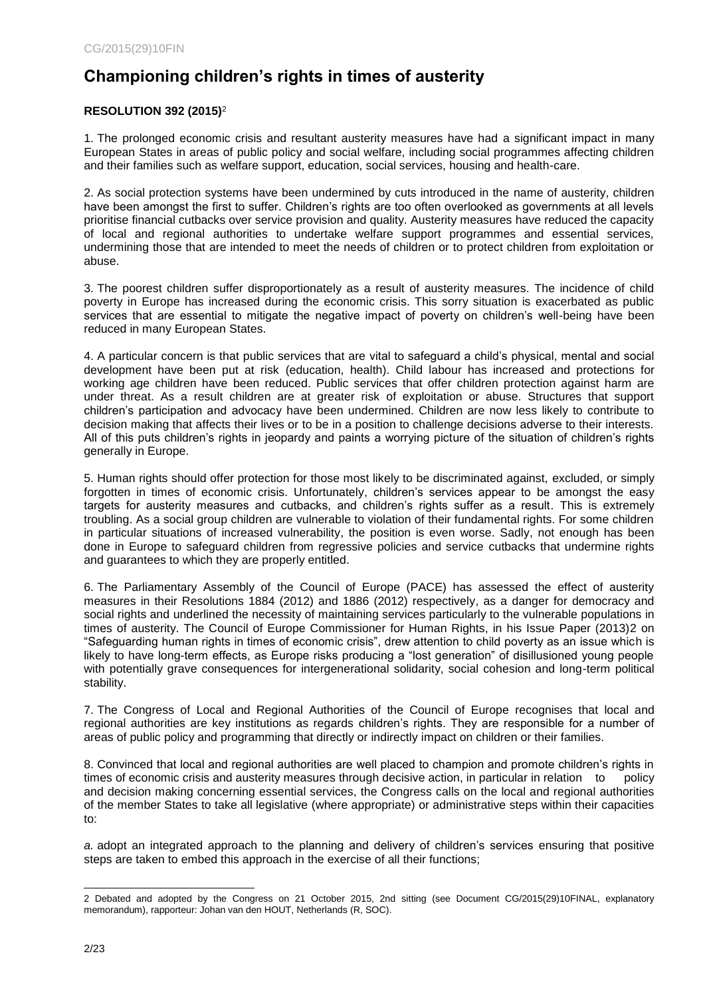## <span id="page-1-0"></span>**Championing children's rights in times of austerity**

## **RESOLUTION 392 (2015)**<sup>2</sup>

1. The prolonged economic crisis and resultant austerity measures have had a significant impact in many European States in areas of public policy and social welfare, including social programmes affecting children and their families such as welfare support, education, social services, housing and health-care.

2. As social protection systems have been undermined by cuts introduced in the name of austerity, children have been amongst the first to suffer. Children's rights are too often overlooked as governments at all levels prioritise financial cutbacks over service provision and quality. Austerity measures have reduced the capacity of local and regional authorities to undertake welfare support programmes and essential services, undermining those that are intended to meet the needs of children or to protect children from exploitation or abuse.

3. The poorest children suffer disproportionately as a result of austerity measures. The incidence of child poverty in Europe has increased during the economic crisis. This sorry situation is exacerbated as public services that are essential to mitigate the negative impact of poverty on children's well-being have been reduced in many European States.

4. A particular concern is that public services that are vital to safeguard a child's physical, mental and social development have been put at risk (education, health). Child labour has increased and protections for working age children have been reduced. Public services that offer children protection against harm are under threat. As a result children are at greater risk of exploitation or abuse. Structures that support children's participation and advocacy have been undermined. Children are now less likely to contribute to decision making that affects their lives or to be in a position to challenge decisions adverse to their interests. All of this puts children's rights in jeopardy and paints a worrying picture of the situation of children's rights generally in Europe.

5. Human rights should offer protection for those most likely to be discriminated against, excluded, or simply forgotten in times of economic crisis. Unfortunately, children's services appear to be amongst the easy targets for austerity measures and cutbacks, and children's rights suffer as a result. This is extremely troubling. As a social group children are vulnerable to violation of their fundamental rights. For some children in particular situations of increased vulnerability, the position is even worse. Sadly, not enough has been done in Europe to safeguard children from regressive policies and service cutbacks that undermine rights and guarantees to which they are properly entitled.

6. The Parliamentary Assembly of the Council of Europe (PACE) has assessed the effect of austerity measures in their Resolutions 1884 (2012) and 1886 (2012) respectively, as a danger for democracy and social rights and underlined the necessity of maintaining services particularly to the vulnerable populations in times of austerity. The Council of Europe Commissioner for Human Rights, in his Issue Paper (2013)2 on "Safeguarding human rights in times of economic crisis", drew attention to child poverty as an issue which is likely to have long-term effects, as Europe risks producing a "lost generation" of disillusioned young people with potentially grave consequences for intergenerational solidarity, social cohesion and long-term political stability.

7. The Congress of Local and Regional Authorities of the Council of Europe recognises that local and regional authorities are key institutions as regards children's rights. They are responsible for a number of areas of public policy and programming that directly or indirectly impact on children or their families.

8. Convinced that local and regional authorities are well placed to champion and promote children's rights in times of economic crisis and austerity measures through decisive action, in particular in relation to policy and decision making concerning essential services, the Congress calls on the local and regional authorities of the member States to take all legislative (where appropriate) or administrative steps within their capacities to:

*a.* adopt an integrated approach to the planning and delivery of children's services ensuring that positive steps are taken to embed this approach in the exercise of all their functions;

l 2 Debated and adopted by the Congress on 21 October 2015, 2nd sitting (see Document CG/2015(29)10FINAL, explanatory memorandum), rapporteur: Johan van den HOUT, Netherlands (R, SOC).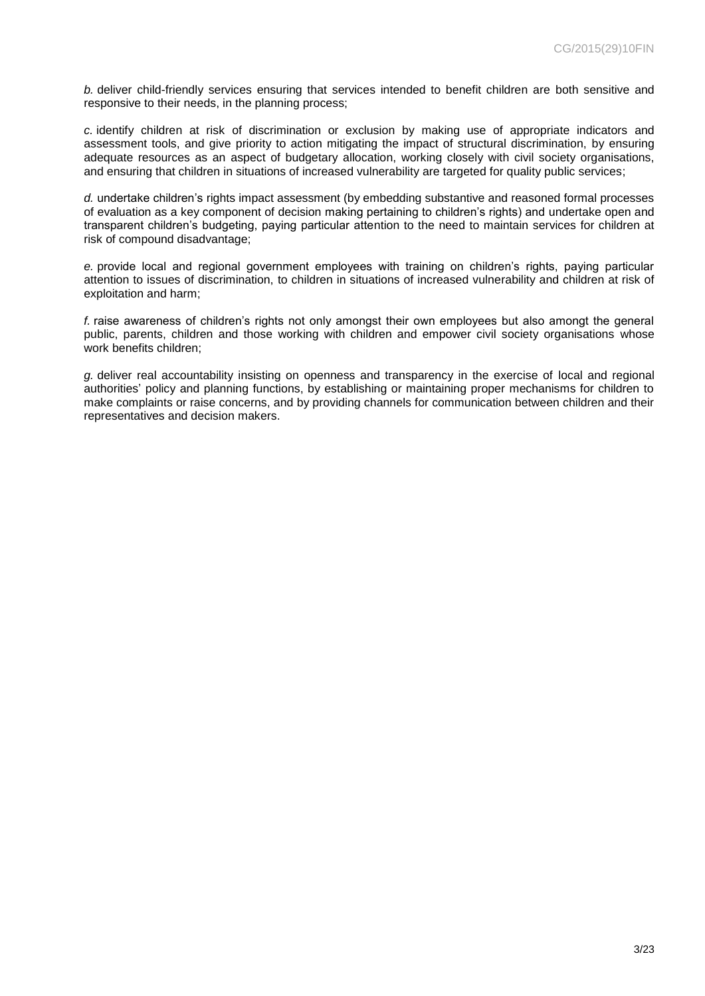*b.* deliver child-friendly services ensuring that services intended to benefit children are both sensitive and responsive to their needs, in the planning process;

*c.* identify children at risk of discrimination or exclusion by making use of appropriate indicators and assessment tools, and give priority to action mitigating the impact of structural discrimination, by ensuring adequate resources as an aspect of budgetary allocation, working closely with civil society organisations, and ensuring that children in situations of increased vulnerability are targeted for quality public services;

*d.* undertake children's rights impact assessment (by embedding substantive and reasoned formal processes of evaluation as a key component of decision making pertaining to children's rights) and undertake open and transparent children's budgeting, paying particular attention to the need to maintain services for children at risk of compound disadvantage;

*e.* provide local and regional government employees with training on children's rights, paying particular attention to issues of discrimination, to children in situations of increased vulnerability and children at risk of exploitation and harm;

*f.* raise awareness of children's rights not only amongst their own employees but also amongt the general public, parents, children and those working with children and empower civil society organisations whose work benefits children;

*g.* deliver real accountability insisting on openness and transparency in the exercise of local and regional authorities' policy and planning functions, by establishing or maintaining proper mechanisms for children to make complaints or raise concerns, and by providing channels for communication between children and their representatives and decision makers.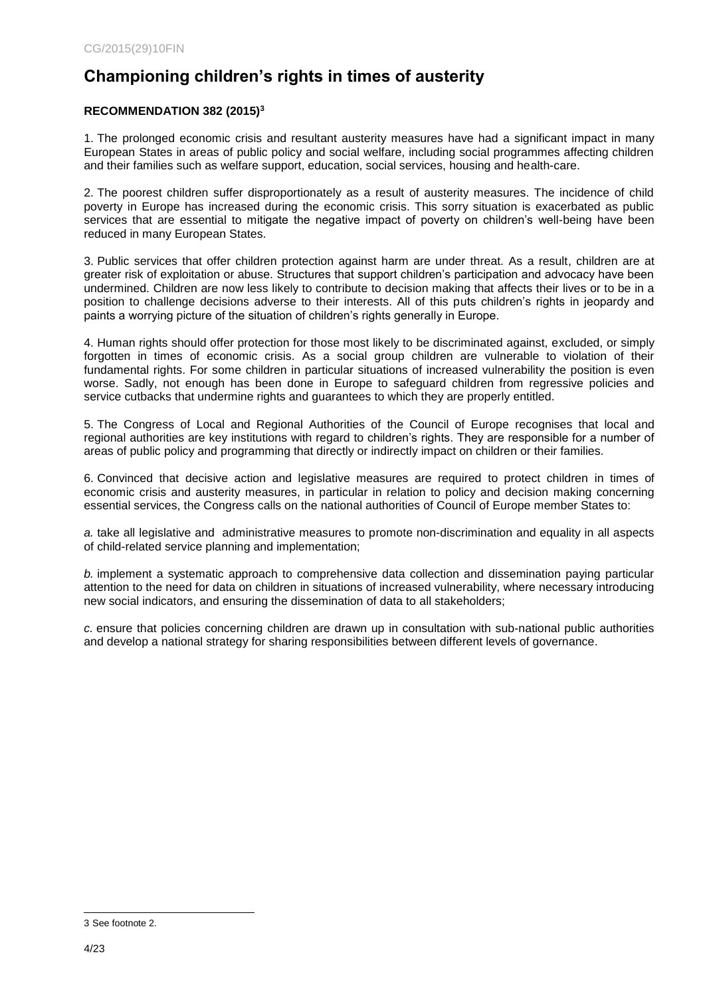## <span id="page-3-0"></span>**Championing children's rights in times of austerity**

### **RECOMMENDATION 382 (2015)<sup>3</sup>**

1. The prolonged economic crisis and resultant austerity measures have had a significant impact in many European States in areas of public policy and social welfare, including social programmes affecting children and their families such as welfare support, education, social services, housing and health-care.

2. The poorest children suffer disproportionately as a result of austerity measures. The incidence of child poverty in Europe has increased during the economic crisis. This sorry situation is exacerbated as public services that are essential to mitigate the negative impact of poverty on children's well-being have been reduced in many European States.

3. Public services that offer children protection against harm are under threat. As a result, children are at greater risk of exploitation or abuse. Structures that support children's participation and advocacy have been undermined. Children are now less likely to contribute to decision making that affects their lives or to be in a position to challenge decisions adverse to their interests. All of this puts children's rights in jeopardy and paints a worrying picture of the situation of children's rights generally in Europe.

4. Human rights should offer protection for those most likely to be discriminated against, excluded, or simply forgotten in times of economic crisis. As a social group children are vulnerable to violation of their fundamental rights. For some children in particular situations of increased vulnerability the position is even worse. Sadly, not enough has been done in Europe to safeguard children from regressive policies and service cutbacks that undermine rights and guarantees to which they are properly entitled.

5. The Congress of Local and Regional Authorities of the Council of Europe recognises that local and regional authorities are key institutions with regard to children's rights. They are responsible for a number of areas of public policy and programming that directly or indirectly impact on children or their families.

6. Convinced that decisive action and legislative measures are required to protect children in times of economic crisis and austerity measures, in particular in relation to policy and decision making concerning essential services, the Congress calls on the national authorities of Council of Europe member States to:

*a.* take all legislative and administrative measures to promote non-discrimination and equality in all aspects of child-related service planning and implementation;

*b.* implement a systematic approach to comprehensive data collection and dissemination paying particular attention to the need for data on children in situations of increased vulnerability, where necessary introducing new social indicators, and ensuring the dissemination of data to all stakeholders;

*c.* ensure that policies concerning children are drawn up in consultation with sub-national public authorities and develop a national strategy for sharing responsibilities between different levels of governance.

l 3 See footnote 2.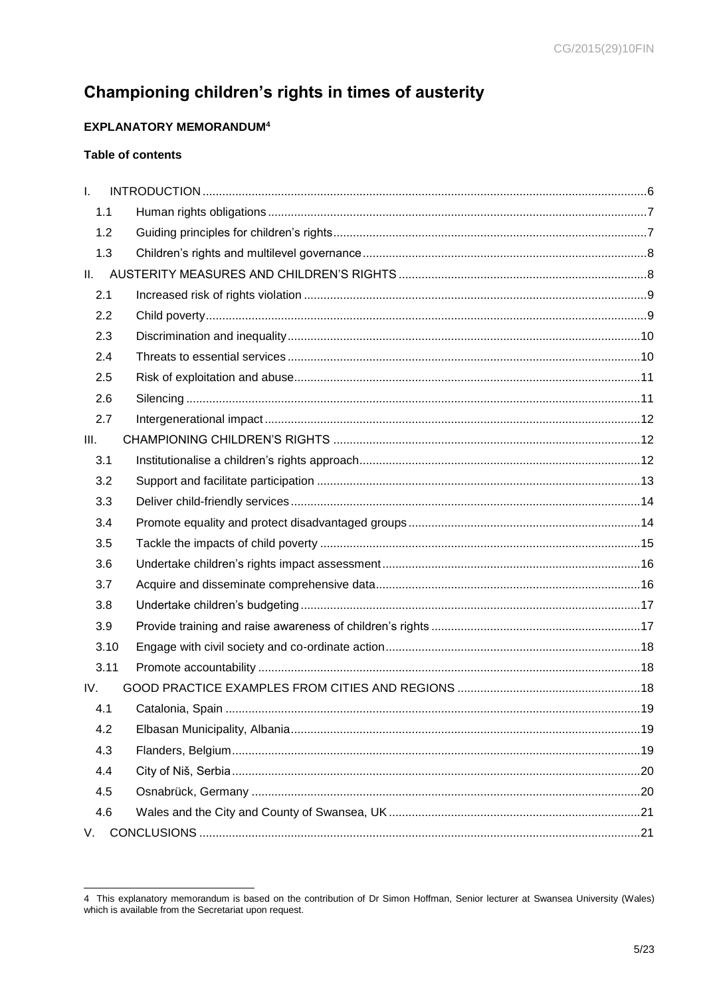# <span id="page-4-0"></span>Championing children's rights in times of austerity

## **EXPLANATORY MEMORANDUM4**

## **Table of contents**

| $\mathbf{L}$ |  |
|--------------|--|
| 1.1          |  |
| 1.2          |  |
| 1.3          |  |
| II.          |  |
| 2.1          |  |
| 2.2          |  |
| 2.3          |  |
| 2.4          |  |
| 2.5          |  |
| 2.6          |  |
| 2.7          |  |
| III.         |  |
| 3.1          |  |
| 3.2          |  |
| 3.3          |  |
| 3.4          |  |
| 3.5          |  |
| 3.6          |  |
| 3.7          |  |
| 3.8          |  |
| 3.9          |  |
| 3.10         |  |
| 3.11         |  |
| IV.          |  |
| 4.1          |  |
| 4.2          |  |
| 4.3          |  |
| 4.4          |  |
| 4.5          |  |
| 4.6          |  |
| V.           |  |

<sup>4</sup> This explanatory memorandum is based on the contribution of Dr Simon Hoffman, Senior lecturer at Swansea University (Wales) which is available from the Secretariat upon request.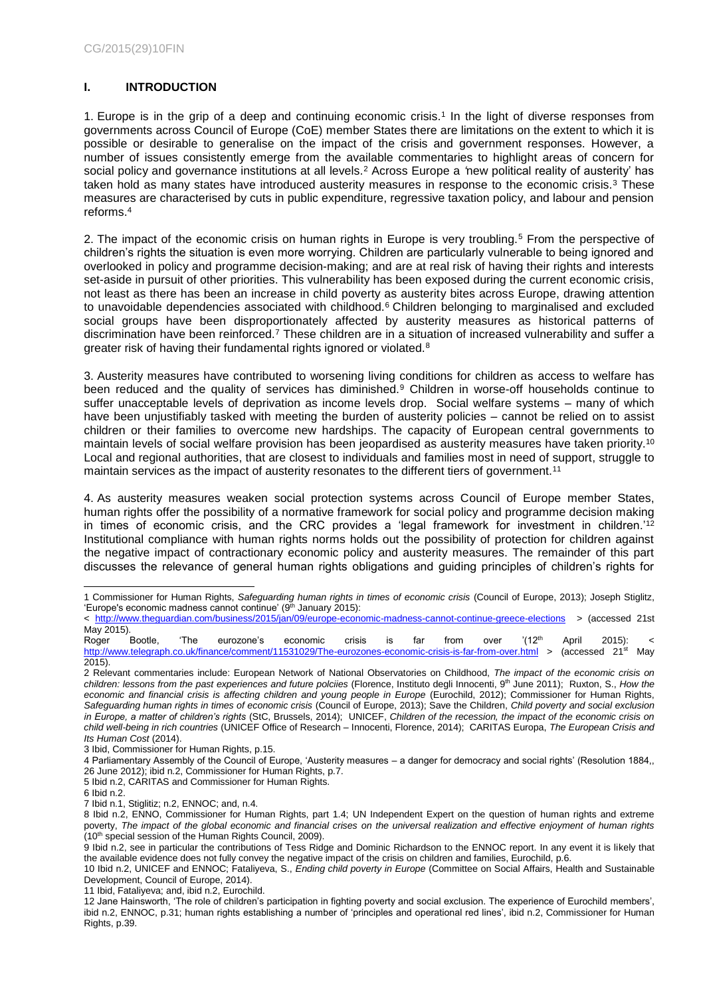## <span id="page-5-0"></span>**I. INTRODUCTION**

1. Europe is in the grip of a deep and continuing economic crisis.<sup>1</sup> In the light of diverse responses from governments across Council of Europe (CoE) member States there are limitations on the extent to which it is possible or desirable to generalise on the impact of the crisis and government responses. However, a number of issues consistently emerge from the available commentaries to highlight areas of concern for social policy and governance institutions at all levels.<sup>2</sup> Across Europe a *'*new political reality of austerity' has taken hold as many states have introduced austerity measures in response to the economic crisis.<sup>3</sup> These measures are characterised by cuts in public expenditure, regressive taxation policy, and labour and pension reforms.<sup>4</sup>

2. The impact of the economic crisis on human rights in Europe is very troubling.<sup>5</sup> From the perspective of children's rights the situation is even more worrying. Children are particularly vulnerable to being ignored and overlooked in policy and programme decision-making; and are at real risk of having their rights and interests set-aside in pursuit of other priorities. This vulnerability has been exposed during the current economic crisis, not least as there has been an increase in child poverty as austerity bites across Europe, drawing attention to unavoidable dependencies associated with childhood.<sup>6</sup> Children belonging to marginalised and excluded social groups have been disproportionately affected by austerity measures as historical patterns of discrimination have been reinforced.<sup>7</sup> These children are in a situation of increased vulnerability and suffer a greater risk of having their fundamental rights ignored or violated.<sup>8</sup>

3. Austerity measures have contributed to worsening living conditions for children as access to welfare has been reduced and the quality of services has diminished.<sup>9</sup> Children in worse-off households continue to suffer unacceptable levels of deprivation as income levels drop. Social welfare systems – many of which have been unjustifiably tasked with meeting the burden of austerity policies – cannot be relied on to assist children or their families to overcome new hardships. The capacity of European central governments to maintain levels of social welfare provision has been jeopardised as austerity measures have taken priority.<sup>10</sup> Local and regional authorities, that are closest to individuals and families most in need of support, struggle to maintain services as the impact of austerity resonates to the different tiers of government.<sup>11</sup>

4. As austerity measures weaken social protection systems across Council of Europe member States, human rights offer the possibility of a normative framework for social policy and programme decision making in times of economic crisis, and the CRC provides a 'legal framework for investment in children.<sup>'12</sup> Institutional compliance with human rights norms holds out the possibility of protection for children against the negative impact of contractionary economic policy and austerity measures. The remainder of this part discusses the relevance of general human rights obligations and guiding principles of children's rights for

-

<sup>1</sup> Commissioner for Human Rights, *Safeguarding human rights in times of economic crisis* (Council of Europe, 2013); Joseph Stiglitz, 'Europe's economic madness cannot continue'  $(9<sup>th</sup>$  January 2015):

<sup>&</sup>lt; <http://www.theguardian.com/business/2015/jan/09/europe-economic-madness-cannot-continue-greece-elections>> (accessed 21st May 2015).<br>Roger Bootle,

Roger Bootle, 'The eurozone's economic crisis is far from over '(12<sup>th</sup> April 2015): < <http://www.telegraph.co.uk/finance/comment/11531029/The-eurozones-economic-crisis-is-far-from-over.html> > (accessed 21<sup>st</sup> May 2015).

<sup>2</sup> Relevant commentaries include: European Network of National Observatories on Childhood, *The impact of the economic crisis on children: lessons from the past experiences and future polciies* (Florence, Instituto degli Innocenti, 9th June 2011);Ruxton, S., *How the*  economic and financial crisis is affecting children and young people in Europe (Eurochild, 2012); Commissioner for Human Rights, *Safeguarding human rights in times of economic crisis* (Council of Europe, 2013); Save the Children, *Child poverty and social exclusion in Europe, a matter of children's rights* (StC, Brussels, 2014); UNICEF, *Children of the recession, the impact of the economic crisis on child well-being in rich countries* (UNICEF Office of Research – Innocenti, Florence, 2014); CARITAS Europa, *The European Crisis and Its Human Cost* (2014).

<sup>3</sup> Ibid, Commissioner for Human Rights, p.15.

<sup>4</sup> Parliamentary Assembly of the Council of Europe, 'Austerity measures – a danger for democracy and social rights' (Resolution 1884,, 26 June 2012); ibid n.2, Commissioner for Human Rights, p.7.

<sup>5</sup> Ibid n.2, CARITAS and Commissioner for Human Rights.

<sup>6</sup> Ibid n.2.

<sup>7</sup> Ibid n.1, Stiglitiz; n.2, ENNOC; and, n.4.

<sup>8</sup> Ibid n.2, ENNO, Commissioner for Human Rights, part 1.4; UN Independent Expert on the question of human rights and extreme poverty, *The impact of the global economic and financial crises on the universal realization and effective enjoyment of human rights* (10th special session of the Human Rights Council, 2009).

<sup>9</sup> Ibid n.2, see in particular the contributions of Tess Ridge and Dominic Richardson to the ENNOC report. In any event it is likely that the available evidence does not fully convey the negative impact of the crisis on children and families, Eurochild, p.6.

<sup>10</sup> Ibid n.2, UNICEF and ENNOC; Fataliyeva, S., *Ending child poverty in Europe* (Committee on Social Affairs, Health and Sustainable Development, Council of Europe, 2014).

<sup>11</sup> Ibid, Fataliyeva; and, ibid n.2, Eurochild.

<sup>12</sup> Jane Hainsworth, 'The role of children's participation in fighting poverty and social exclusion. The experience of Eurochild members', ibid n.2, ENNOC, p.31; human rights establishing a number of 'principles and operational red lines', ibid n.2, Commissioner for Human Rights, p.39.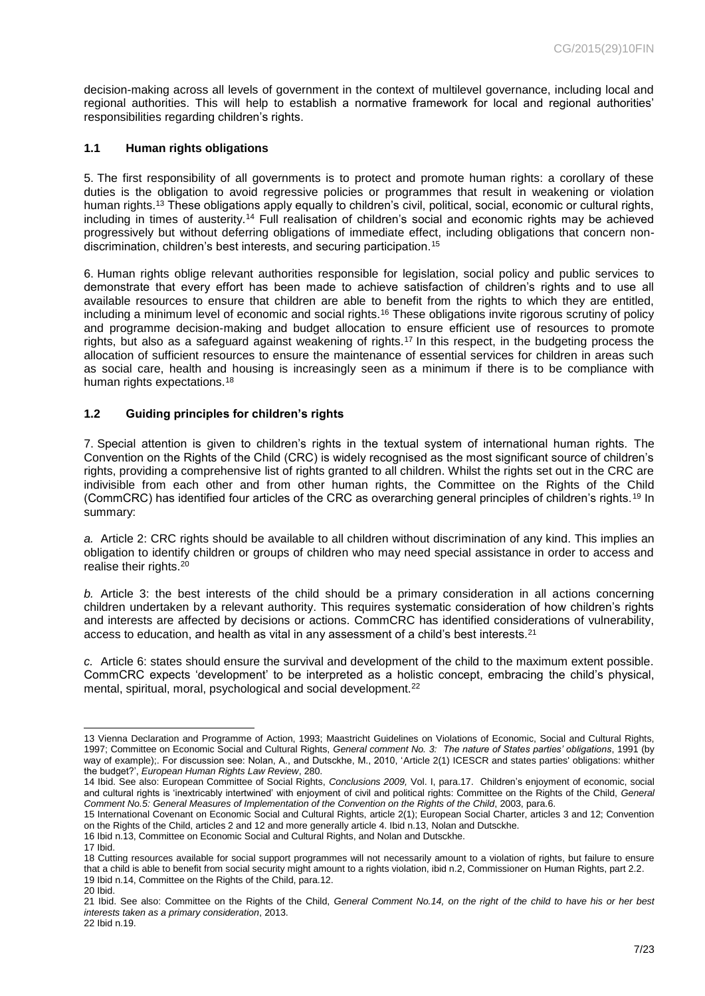decision-making across all levels of government in the context of multilevel governance, including local and regional authorities. This will help to establish a normative framework for local and regional authorities' responsibilities regarding children's rights.

#### <span id="page-6-0"></span>**1.1 Human rights obligations**

5. The first responsibility of all governments is to protect and promote human rights: a corollary of these duties is the obligation to avoid regressive policies or programmes that result in weakening or violation human rights.<sup>13</sup> These obligations apply equally to children's civil, political, social, economic or cultural rights, including in times of austerity.<sup>14</sup> Full realisation of children's social and economic rights may be achieved progressively but without deferring obligations of immediate effect, including obligations that concern nondiscrimination, children's best interests, and securing participation.<sup>15</sup>

6. Human rights oblige relevant authorities responsible for legislation, social policy and public services to demonstrate that every effort has been made to achieve satisfaction of children's rights and to use all available resources to ensure that children are able to benefit from the rights to which they are entitled, including a minimum level of economic and social rights.<sup>16</sup> These obligations invite rigorous scrutiny of policy and programme decision-making and budget allocation to ensure efficient use of resources to promote rights, but also as a safeguard against weakening of rights.<sup>17</sup> In this respect, in the budgeting process the allocation of sufficient resources to ensure the maintenance of essential services for children in areas such as social care, health and housing is increasingly seen as a minimum if there is to be compliance with human rights expectations.<sup>18</sup>

#### <span id="page-6-1"></span>**1.2 Guiding principles for children's rights**

7. Special attention is given to children's rights in the textual system of international human rights. The Convention on the Rights of the Child (CRC) is widely recognised as the most significant source of children's rights, providing a comprehensive list of rights granted to all children. Whilst the rights set out in the CRC are indivisible from each other and from other human rights, the Committee on the Rights of the Child (CommCRC) has identified four articles of the CRC as overarching general principles of children's rights.<sup>19</sup> In summary:

*a.* Article 2: CRC rights should be available to all children without discrimination of any kind. This implies an obligation to identify children or groups of children who may need special assistance in order to access and realise their rights.<sup>20</sup>

*b.* Article 3: the best interests of the child should be a primary consideration in all actions concerning children undertaken by a relevant authority. This requires systematic consideration of how children's rights and interests are affected by decisions or actions. CommCRC has identified considerations of vulnerability, access to education, and health as vital in any assessment of a child's best interests.<sup>21</sup>

*c.* Article 6: states should ensure the survival and development of the child to the maximum extent possible. CommCRC expects 'development' to be interpreted as a holistic concept, embracing the child's physical, mental, spiritual, moral, psychological and social development.<sup>22</sup>

l 13 Vienna Declaration and Programme of Action, 1993; Maastricht Guidelines on Violations of Economic, Social and Cultural Rights, 1997; Committee on Economic Social and Cultural Rights, *General comment No. 3: The nature of States parties' obligations*, 1991 (by way of example);. For discussion see: Nolan, A., and Dutsckhe, M., 2010, 'Article 2(1) ICESCR and states parties' obligations: whither the budget?', *European Human Rights Law Review*, 280.

<sup>14</sup> Ibid. See also: European Committee of Social Rights, *Conclusions 2009,* Vol. I, para.17. Children's enjoyment of economic, social and cultural rights is 'inextricably intertwined' with enjoyment of civil and political rights: Committee on the Rights of the Child, *General Comment No.5: General Measures of Implementation of the Convention on the Rights of the Child*, 2003, para.6.

<sup>15</sup> International Covenant on Economic Social and Cultural Rights, article 2(1); European Social Charter, articles 3 and 12; Convention on the Rights of the Child, articles 2 and 12 and more generally article 4. Ibid n.13, Nolan and Dutsckhe.

<sup>16</sup> Ibid n.13, Committee on Economic Social and Cultural Rights, and Nolan and Dutsckhe.

<sup>17</sup> Ibid.

<sup>18</sup> Cutting resources available for social support programmes will not necessarily amount to a violation of rights, but failure to ensure that a child is able to benefit from social security might amount to a rights violation, ibid n.2, Commissioner on Human Rights, part 2.2. 19 Ibid n.14, Committee on the Rights of the Child, para.12. 20 Ibid.

<sup>21</sup> Ibid. See also: Committee on the Rights of the Child, *General Comment No.14, on the right of the child to have his or her best interests taken as a primary consideration*, 2013.

<sup>22</sup> Ibid n.19.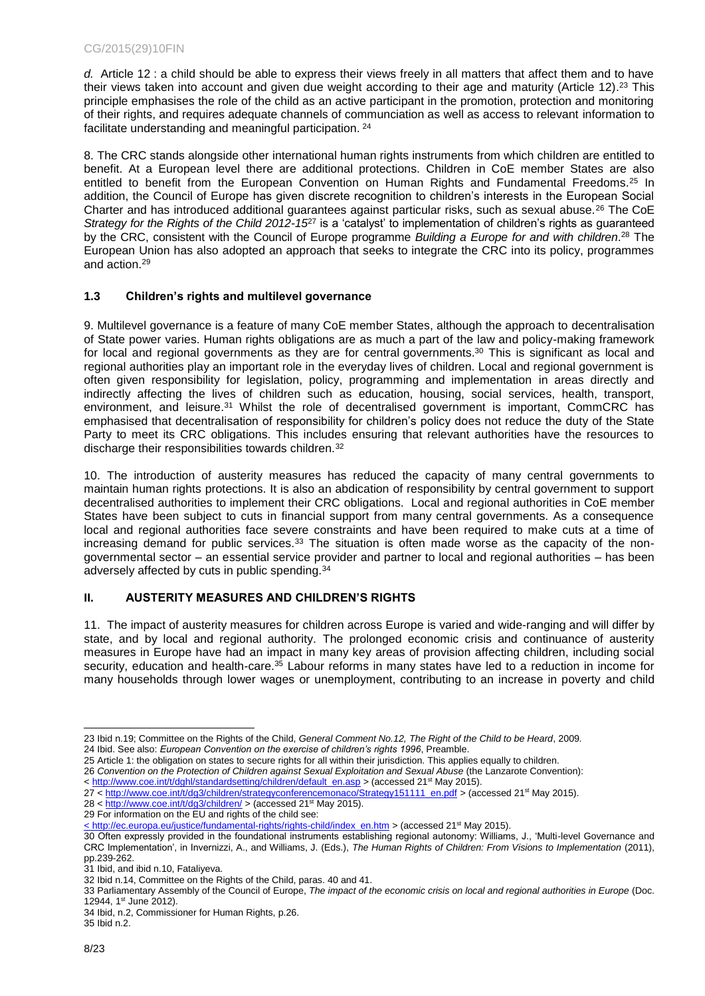*d.* Article 12 : a child should be able to express their views freely in all matters that affect them and to have their views taken into account and given due weight according to their age and maturity (Article 12).<sup>23</sup> This principle emphasises the role of the child as an active participant in the promotion, protection and monitoring of their rights, and requires adequate channels of communciation as well as access to relevant information to facilitate understanding and meaningful participation. <sup>24</sup>

8. The CRC stands alongside other international human rights instruments from which children are entitled to benefit. At a European level there are additional protections. Children in CoE member States are also entitled to benefit from the European Convention on Human Rights and Fundamental Freedoms.<sup>25</sup> In addition, the Council of Europe has given discrete recognition to children's interests in the European Social Charter and has introduced additional guarantees against particular risks, such as sexual abuse.<sup>26</sup> The CoE *Strategy for the Rights of the Child 2012-15*<sup>27</sup> is a 'catalyst' to implementation of children's rights as guaranteed by the CRC, consistent with the Council of Europe programme *Building a Europe for and with children*. <sup>28</sup> The European Union has also adopted an approach that seeks to integrate the CRC into its policy, programmes and action.<sup>29</sup>

#### <span id="page-7-0"></span>**1.3 Children's rights and multilevel governance**

9. Multilevel governance is a feature of many CoE member States, although the approach to decentralisation of State power varies. Human rights obligations are as much a part of the law and policy-making framework for local and regional governments as they are for central governments.<sup>30</sup> This is significant as local and regional authorities play an important role in the everyday lives of children. Local and regional government is often given responsibility for legislation, policy, programming and implementation in areas directly and indirectly affecting the lives of children such as education, housing, social services, health, transport, environment, and leisure.<sup>31</sup> Whilst the role of decentralised government is important, CommCRC has emphasised that decentralisation of responsibility for children's policy does not reduce the duty of the State Party to meet its CRC obligations. This includes ensuring that relevant authorities have the resources to discharge their responsibilities towards children.<sup>32</sup>

10. The introduction of austerity measures has reduced the capacity of many central governments to maintain human rights protections. It is also an abdication of responsibility by central government to support decentralised authorities to implement their CRC obligations. Local and regional authorities in CoE member States have been subject to cuts in financial support from many central governments. As a consequence local and regional authorities face severe constraints and have been required to make cuts at a time of increasing demand for public services. $33$  The situation is often made worse as the capacity of the nongovernmental sector – an essential service provider and partner to local and regional authorities – has been adversely affected by cuts in public spending.<sup>34</sup>

#### <span id="page-7-1"></span>**II. AUSTERITY MEASURES AND CHILDREN'S RIGHTS**

11. The impact of austerity measures for children across Europe is varied and wide-ranging and will differ by state, and by local and regional authority. The prolonged economic crisis and continuance of austerity measures in Europe have had an impact in many key areas of provision affecting children, including social security, education and health-care.<sup>35</sup> Labour reforms in many states have led to a reduction in income for many households through lower wages or unemployment, contributing to an increase in poverty and child

28 <<http://www.coe.int/t/dg3/children/> > (accessed 21st May 2015).

l 23 Ibid n.19; Committee on the Rights of the Child, *General Comment No.12, The Right of the Child to be Heard*, 2009*.*

<sup>24</sup> Ibid. See also: *European Convention on the exercise of children's rights 1996*, Preamble.

<sup>25</sup> Article 1: the obligation on states to secure rights for all within their jurisdiction. This applies equally to children.

<sup>26</sup> *Convention on the Protection of Children against Sexual Exploitation and Sexual Abuse* (the Lanzarote Convention):

<sup>&</sup>lt; [http://www.coe.int/t/dghl/standardsetting/children/default\\_en.asp](http://www.coe.int/t/dghl/standardsetting/children/default_en.asp) > (accessed 21<sup>st</sup> May 2015).

<sup>27 &</sup>lt; [http://www.coe.int/t/dg3/children/strategyconferencemonaco/Strategy151111\\_en.pdf](http://www.coe.int/t/dg3/children/strategyconferencemonaco/Strategy151111_en.pdf) > (accessed 21<sup>st</sup> May 2015).

<sup>29</sup> For information on the EU and rights of the child see:

[<sup>&</sup>lt; http://ec.europa.eu/justice/fundamental-rights/rights-child/index\\_en.htm](file:///C:/Users/s.hoffman/AppData/Local/Microsoft/Windows/Temporary%20Internet%20Files/Content.Outlook/0F8YGZL0/%3c%20http:/ec.europa.eu/justice/fundamental-rights/rights-child/index_en.htm) > (accessed 21st May 2015).

<sup>30</sup> Often expressly provided in the foundational instruments establishing regional autonomy: Williams, J., 'Multi-level Governance and CRC Implementation', in Invernizzi, A., and Williams, J. (Eds.), *The Human Rights of Children: From Visions to Implementation* (2011), pp.239-262.

<sup>31</sup> Ibid, and ibid n.10, Fataliyeva.

<sup>32</sup> Ibid n.14, Committee on the Rights of the Child, paras. 40 and 41.

<sup>33</sup> Parliamentary Assembly of the Council of Europe, *The impact of the economic crisis on local and regional authorities in Europe* (Doc. 12944, 1st June 2012).

<sup>34</sup> Ibid, n.2, Commissioner for Human Rights, p.26.

<sup>35</sup> Ibid n.2.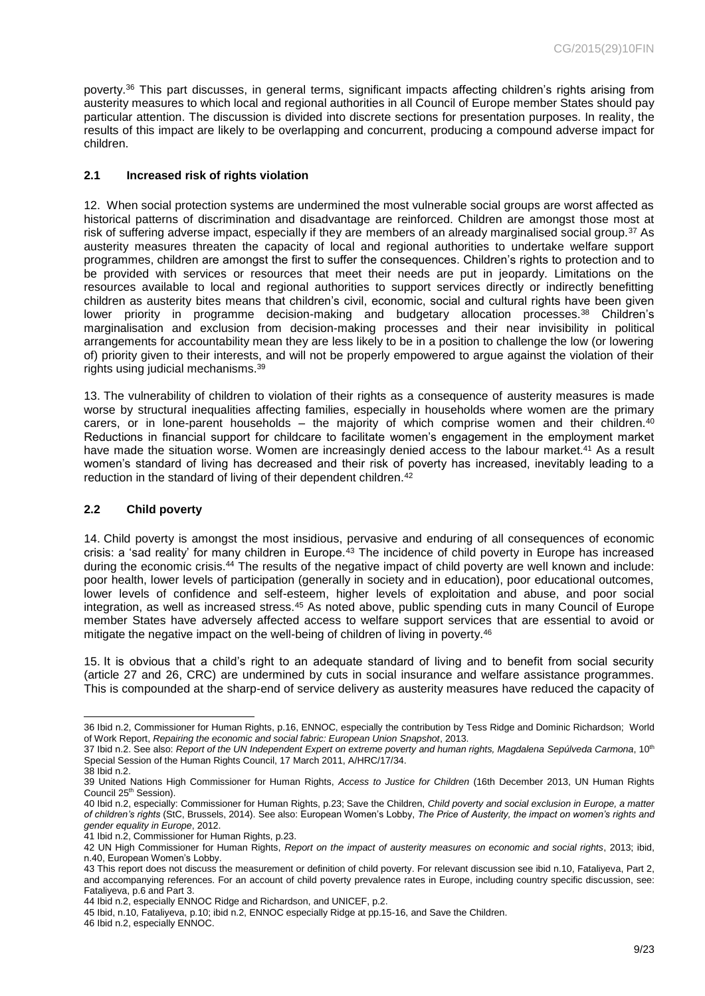poverty.<sup>36</sup> This part discusses, in general terms, significant impacts affecting children's rights arising from austerity measures to which local and regional authorities in all Council of Europe member States should pay particular attention. The discussion is divided into discrete sections for presentation purposes. In reality, the results of this impact are likely to be overlapping and concurrent, producing a compound adverse impact for children.

#### <span id="page-8-0"></span>**2.1 Increased risk of rights violation**

12. When social protection systems are undermined the most vulnerable social groups are worst affected as historical patterns of discrimination and disadvantage are reinforced. Children are amongst those most at risk of suffering adverse impact, especially if they are members of an already marginalised social group.<sup>37</sup> As austerity measures threaten the capacity of local and regional authorities to undertake welfare support programmes, children are amongst the first to suffer the consequences. Children's rights to protection and to be provided with services or resources that meet their needs are put in jeopardy. Limitations on the resources available to local and regional authorities to support services directly or indirectly benefitting children as austerity bites means that children's civil, economic, social and cultural rights have been given lower priority in programme decision-making and budgetary allocation processes.<sup>38</sup> Children's marginalisation and exclusion from decision-making processes and their near invisibility in political arrangements for accountability mean they are less likely to be in a position to challenge the low (or lowering of) priority given to their interests, and will not be properly empowered to argue against the violation of their rights using judicial mechanisms.<sup>39</sup>

13. The vulnerability of children to violation of their rights as a consequence of austerity measures is made worse by structural inequalities affecting families, especially in households where women are the primary carers, or in lone-parent households – the majority of which comprise women and their children. $40$ Reductions in financial support for childcare to facilitate women's engagement in the employment market have made the situation worse. Women are increasingly denied access to the labour market.<sup>41</sup> As a result women's standard of living has decreased and their risk of poverty has increased, inevitably leading to a reduction in the standard of living of their dependent children.<sup>42</sup>

#### <span id="page-8-1"></span>**2.2 Child poverty**

14. Child poverty is amongst the most insidious, pervasive and enduring of all consequences of economic crisis: a 'sad reality' for many children in Europe.<sup>43</sup> The incidence of child poverty in Europe has increased during the economic crisis.<sup>44</sup> The results of the negative impact of child poverty are well known and include: poor health, lower levels of participation (generally in society and in education), poor educational outcomes, lower levels of confidence and self-esteem, higher levels of exploitation and abuse, and poor social integration, as well as increased stress.<sup>45</sup> As noted above, public spending cuts in many Council of Europe member States have adversely affected access to welfare support services that are essential to avoid or mitigate the negative impact on the well-being of children of living in poverty.<sup>46</sup>

15. It is obvious that a child's right to an adequate standard of living and to benefit from social security (article 27 and 26, CRC) are undermined by cuts in social insurance and welfare assistance programmes. This is compounded at the sharp-end of service delivery as austerity measures have reduced the capacity of

46 Ibid n.2, especially ENNOC.

l 36 Ibid n.2, Commissioner for Human Rights, p.16, ENNOC, especially the contribution by Tess Ridge and Dominic Richardson; World of Work Report, *Repairing the economic and social fabric: European Union Snapshot*, 2013.

<sup>37</sup> Ibid n.2. See also: Report of the UN Independent Expert on extreme poverty and human rights, Magdalena Sepúlveda Carmona, 10<sup>th</sup> Special Session of the Human Rights Council, 17 March 2011, A/HRC/17/34. 38 Ibid n.2.

<sup>39</sup> United Nations High Commissioner for Human Rights, *Access to Justice for Children* (16th December 2013, UN Human Rights Council 25<sup>th</sup> Session).

<sup>40</sup> Ibid n.2, especially: Commissioner for Human Rights, p.23; Save the Children, *Child poverty and social exclusion in Europe, a matter of children's rights* (StC, Brussels, 2014). See also: European Women's Lobby, *The Price of Austerity, the impact on women's rights and gender equality in Europe*, 2012.

<sup>41</sup> Ibid n.2, Commissioner for Human Rights, p.23.

<sup>42</sup> UN High Commissioner for Human Rights, *Report on the impact of austerity measures on economic and social rights*, 2013; ibid, n.40, European Women's Lobby.

<sup>43</sup> This report does not discuss the measurement or definition of child poverty. For relevant discussion see ibid n.10, Fataliyeva, Part 2, and accompanying references. For an account of child poverty prevalence rates in Europe, including country specific discussion, see: Fataliyeva, p.6 and Part 3.

<sup>44</sup> Ibid n.2, especially ENNOC Ridge and Richardson, and UNICEF, p.2.

<sup>45</sup> Ibid, n.10, Fataliyeva, p.10; ibid n.2, ENNOC especially Ridge at pp.15-16, and Save the Children.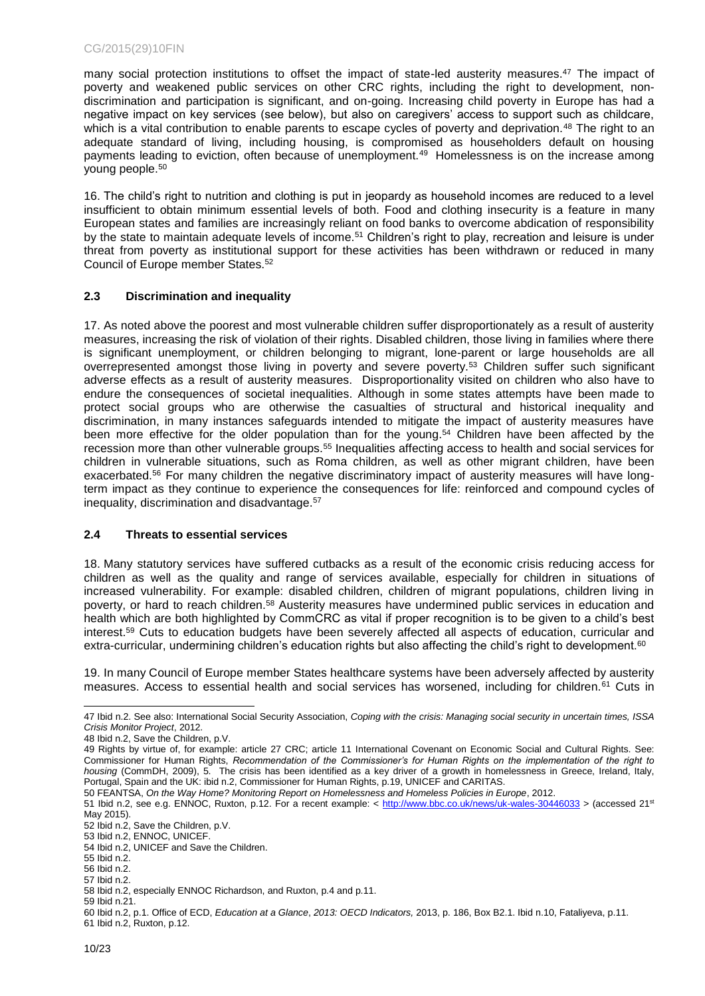many social protection institutions to offset the impact of state-led austerity measures.<sup>47</sup> The impact of poverty and weakened public services on other CRC rights, including the right to development, nondiscrimination and participation is significant, and on-going. Increasing child poverty in Europe has had a negative impact on key services (see below), but also on caregivers' access to support such as childcare, which is a vital contribution to enable parents to escape cycles of poverty and deprivation.<sup>48</sup> The right to an adequate standard of living, including housing, is compromised as householders default on housing payments leading to eviction, often because of unemployment.<sup>49</sup> Homelessness is on the increase among young people.<sup>50</sup>

16. The child's right to nutrition and clothing is put in jeopardy as household incomes are reduced to a level insufficient to obtain minimum essential levels of both. Food and clothing insecurity is a feature in many European states and families are increasingly reliant on food banks to overcome abdication of responsibility by the state to maintain adequate levels of income.<sup>51</sup> Children's right to play, recreation and leisure is under threat from poverty as institutional support for these activities has been withdrawn or reduced in many Council of Europe member States.<sup>52</sup>

#### <span id="page-9-0"></span>**2.3 Discrimination and inequality**

17. As noted above the poorest and most vulnerable children suffer disproportionately as a result of austerity measures, increasing the risk of violation of their rights. Disabled children, those living in families where there is significant unemployment, or children belonging to migrant, lone-parent or large households are all overrepresented amongst those living in poverty and severe poverty.<sup>53</sup> Children suffer such significant adverse effects as a result of austerity measures. Disproportionality visited on children who also have to endure the consequences of societal inequalities. Although in some states attempts have been made to protect social groups who are otherwise the casualties of structural and historical inequality and discrimination, in many instances safeguards intended to mitigate the impact of austerity measures have been more effective for the older population than for the young.<sup>54</sup> Children have been affected by the recession more than other vulnerable groups.<sup>55</sup> Inequalities affecting access to health and social services for children in vulnerable situations, such as Roma children, as well as other migrant children, have been exacerbated.<sup>56</sup> For many children the negative discriminatory impact of austerity measures will have longterm impact as they continue to experience the consequences for life: reinforced and compound cycles of inequality, discrimination and disadvantage.<sup>57</sup>

#### <span id="page-9-1"></span>**2.4 Threats to essential services**

18. Many statutory services have suffered cutbacks as a result of the economic crisis reducing access for children as well as the quality and range of services available, especially for children in situations of increased vulnerability. For example: disabled children, children of migrant populations, children living in poverty, or hard to reach children.<sup>58</sup> Austerity measures have undermined public services in education and health which are both highlighted by CommCRC as vital if proper recognition is to be given to a child's best interest.<sup>59</sup> Cuts to education budgets have been severely affected all aspects of education, curricular and extra-curricular, undermining children's education rights but also affecting the child's right to development.<sup>60</sup>

19. In many Council of Europe member States healthcare systems have been adversely affected by austerity measures. Access to essential health and social services has worsened, including for children.<sup>61</sup> Cuts in

l

57 Ibid n.2.

<sup>47</sup> Ibid n.2. See also: International Social Security Association, *Coping with the crisis: Managing social security in uncertain times, ISSA Crisis Monitor Project*, 2012.

<sup>48</sup> Ibid n.2, Save the Children, p.V.

<sup>49</sup> Rights by virtue of, for example: article 27 CRC; article 11 International Covenant on Economic Social and Cultural Rights. See: Commissioner for Human Rights, *Recommendation of the Commissioner's for Human Rights on the implementation of the right to housing* (CommDH, 2009), 5. The crisis has been identified as a key driver of a growth in homelessness in Greece, Ireland, Italy, Portugal, Spain and the UK: ibid n.2, Commissioner for Human Rights, p.19, UNICEF and CARITAS.

<sup>50</sup> FEANTSA, *On the Way Home? Monitoring Report on Homelessness and Homeless Policies in Europe*, 2012.

<sup>51</sup> Ibid n.2, see e.g. ENNOC, Ruxton, p.12. For a recent example:  $<$ <http://www.bbc.co.uk/news/uk-wales-30446033> > (accessed 21<sup>st</sup>) May 2015).

<sup>52</sup> Ibid n.2, Save the Children, p.V.

<sup>53</sup> Ibid n.2, ENNOC, UNICEF.

<sup>54</sup> Ibid n.2, UNICEF and Save the Children.

<sup>55</sup> Ibid n.2.

<sup>56</sup> Ibid n.2.

<sup>58</sup> Ibid n.2, especially ENNOC Richardson, and Ruxton, p.4 and p.11.

<sup>59</sup> Ibid n.21.

<sup>60</sup> Ibid n.2, p.1. Office of ECD, *Education at a Glance*, *2013: OECD Indicators,* 2013, p. 186, Box B2.1. Ibid n.10, Fataliyeva, p.11. 61 Ibid n.2, Ruxton, p.12.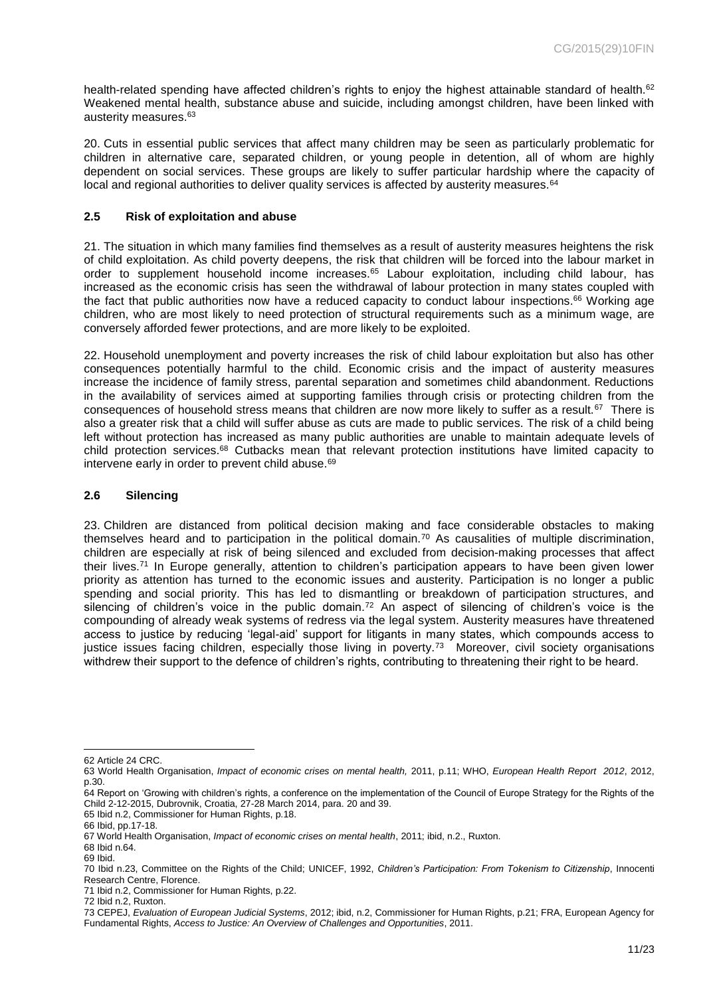health-related spending have affected children's rights to enjoy the highest attainable standard of health.<sup>62</sup> Weakened mental health, substance abuse and suicide, including amongst children, have been linked with austerity measures.<sup>63</sup>

20. Cuts in essential public services that affect many children may be seen as particularly problematic for children in alternative care, separated children, or young people in detention, all of whom are highly dependent on social services. These groups are likely to suffer particular hardship where the capacity of local and regional authorities to deliver quality services is affected by austerity measures.<sup>64</sup>

#### <span id="page-10-0"></span>**2.5 Risk of exploitation and abuse**

21. The situation in which many families find themselves as a result of austerity measures heightens the risk of child exploitation. As child poverty deepens, the risk that children will be forced into the labour market in order to supplement household income increases.<sup>65</sup> Labour exploitation, including child labour, has increased as the economic crisis has seen the withdrawal of labour protection in many states coupled with the fact that public authorities now have a reduced capacity to conduct labour inspections. <sup>66</sup> Working age children, who are most likely to need protection of structural requirements such as a minimum wage, are conversely afforded fewer protections, and are more likely to be exploited.

22. Household unemployment and poverty increases the risk of child labour exploitation but also has other consequences potentially harmful to the child. Economic crisis and the impact of austerity measures increase the incidence of family stress, parental separation and sometimes child abandonment. Reductions in the availability of services aimed at supporting families through crisis or protecting children from the consequences of household stress means that children are now more likely to suffer as a result.<sup>67</sup> There is also a greater risk that a child will suffer abuse as cuts are made to public services. The risk of a child being left without protection has increased as many public authorities are unable to maintain adequate levels of child protection services.<sup>68</sup> Cutbacks mean that relevant protection institutions have limited capacity to intervene early in order to prevent child abuse.<sup>69</sup>

#### <span id="page-10-1"></span>**2.6 Silencing**

23. Children are distanced from political decision making and face considerable obstacles to making themselves heard and to participation in the political domain.<sup>70</sup> As causalities of multiple discrimination, children are especially at risk of being silenced and excluded from decision-making processes that affect their lives.<sup>71</sup> In Europe generally, attention to children's participation appears to have been given lower priority as attention has turned to the economic issues and austerity. Participation is no longer a public spending and social priority. This has led to dismantling or breakdown of participation structures, and silencing of children's voice in the public domain.<sup>72</sup> An aspect of silencing of children's voice is the compounding of already weak systems of redress via the legal system. Austerity measures have threatened access to justice by reducing 'legal-aid' support for litigants in many states, which compounds access to justice issues facing children, especially those living in poverty.<sup>73</sup> Moreover, civil society organisations withdrew their support to the defence of children's rights, contributing to threatening their right to be heard.

65 Ibid n.2, Commissioner for Human Rights, p.18.

l 62 Article 24 CRC.

<sup>63</sup> World Health Organisation, *Impact of economic crises on mental health,* 2011, p.11; WHO, *European Health Report 2012*, 2012, p.30.

<sup>64</sup> Report on 'Growing with children's rights, a conference on the implementation of the Council of Europe Strategy for the Rights of the Child 2-12-2015, Dubrovnik, Croatia, 27-28 March 2014, para. 20 and 39.

<sup>66</sup> Ibid, pp.17-18.

<sup>67</sup> World Health Organisation, *Impact of economic crises on mental health*, 2011; ibid, n.2., Ruxton.

<sup>68</sup> Ibid n.64.

<sup>69</sup> Ibid.

<sup>70</sup> Ibid n.23, Committee on the Rights of the Child; UNICEF, 1992, *Children's Participation: From Tokenism to Citizenship*, Innocenti Research Centre, Florence.

<sup>71</sup> Ibid n.2, Commissioner for Human Rights, p.22.

<sup>72</sup> Ibid n.2, Ruxton.

<sup>73</sup> CEPEJ, *Evaluation of European Judicial Systems*, 2012; ibid, n.2, Commissioner for Human Rights, p.21; FRA, European Agency for Fundamental Rights, *Access to Justice: An Overview of Challenges and Opportunities*, 2011.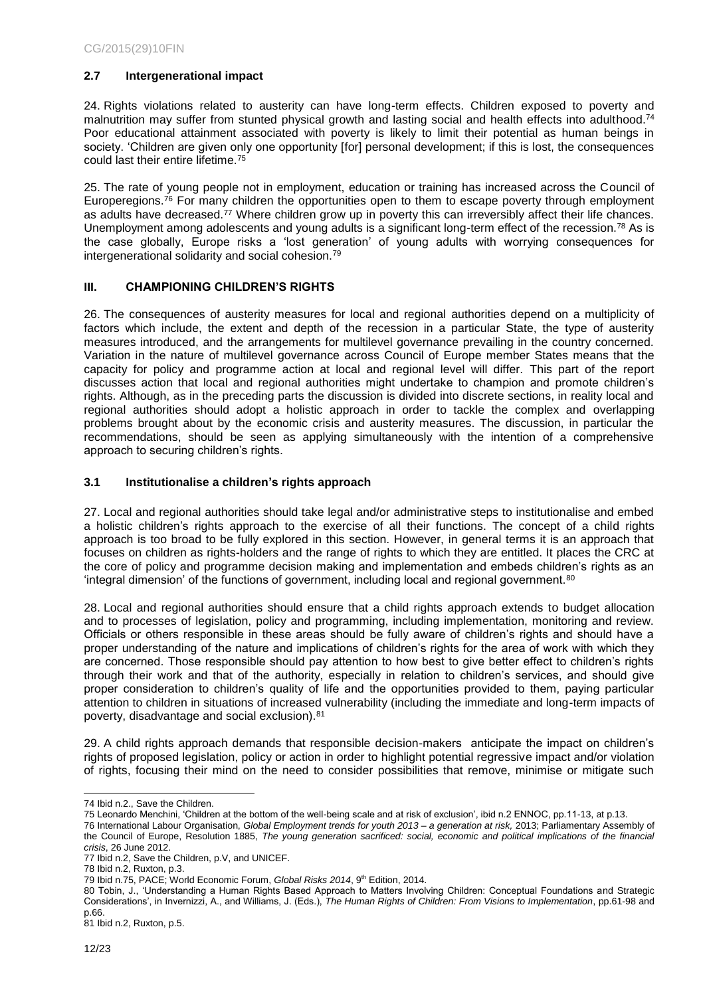#### <span id="page-11-0"></span>**2.7 Intergenerational impact**

24. Rights violations related to austerity can have long-term effects. Children exposed to poverty and malnutrition may suffer from stunted physical growth and lasting social and health effects into adulthood.<sup>74</sup> Poor educational attainment associated with poverty is likely to limit their potential as human beings in society. 'Children are given only one opportunity [for] personal development; if this is lost, the consequences could last their entire lifetime.<sup>75</sup>

25. The rate of young people not in employment, education or training has increased across the Council of Europeregions.<sup>76</sup> For many children the opportunities open to them to escape poverty through employment as adults have decreased.<sup>77</sup> Where children grow up in poverty this can irreversibly affect their life chances. Unemployment among adolescents and young adults is a significant long-term effect of the recession.<sup>78</sup> As is the case globally, Europe risks a 'lost generation' of young adults with worrying consequences for intergenerational solidarity and social cohesion.<sup>79</sup>

#### <span id="page-11-1"></span>**III. CHAMPIONING CHILDREN'S RIGHTS**

26. The consequences of austerity measures for local and regional authorities depend on a multiplicity of factors which include, the extent and depth of the recession in a particular State, the type of austerity measures introduced, and the arrangements for multilevel governance prevailing in the country concerned. Variation in the nature of multilevel governance across Council of Europe member States means that the capacity for policy and programme action at local and regional level will differ. This part of the report discusses action that local and regional authorities might undertake to champion and promote children's rights. Although, as in the preceding parts the discussion is divided into discrete sections, in reality local and regional authorities should adopt a holistic approach in order to tackle the complex and overlapping problems brought about by the economic crisis and austerity measures. The discussion, in particular the recommendations, should be seen as applying simultaneously with the intention of a comprehensive approach to securing children's rights.

#### <span id="page-11-2"></span>**3.1 Institutionalise a children's rights approach**

27. Local and regional authorities should take legal and/or administrative steps to institutionalise and embed a holistic children's rights approach to the exercise of all their functions. The concept of a child rights approach is too broad to be fully explored in this section. However, in general terms it is an approach that focuses on children as rights-holders and the range of rights to which they are entitled. It places the CRC at the core of policy and programme decision making and implementation and embeds children's rights as an 'integral dimension' of the functions of government, including local and regional government.<sup>80</sup>

28. Local and regional authorities should ensure that a child rights approach extends to budget allocation and to processes of legislation, policy and programming, including implementation, monitoring and review. Officials or others responsible in these areas should be fully aware of children's rights and should have a proper understanding of the nature and implications of children's rights for the area of work with which they are concerned. Those responsible should pay attention to how best to give better effect to children's rights through their work and that of the authority, especially in relation to children's services, and should give proper consideration to children's quality of life and the opportunities provided to them, paying particular attention to children in situations of increased vulnerability (including the immediate and long-term impacts of poverty, disadvantage and social exclusion).<sup>81</sup>

29. A child rights approach demands that responsible decision-makers anticipate the impact on children's rights of proposed legislation, policy or action in order to highlight potential regressive impact and/or violation of rights, focusing their mind on the need to consider possibilities that remove, minimise or mitigate such

l 74 Ibid n.2., Save the Children.

<sup>75</sup> Leonardo Menchini, 'Children at the bottom of the well-being scale and at risk of exclusion', ibid n.2 ENNOC, pp.11-13, at p.13.

<sup>76</sup> International Labour Organisation, *Global Employment trends for youth 2013 – a generation at risk,* 2013; Parliamentary Assembly of the Council of Europe, Resolution 1885, *The young generation sacrificed: social, economic and political implications of the financial crisis*, 26 June 2012.

<sup>77</sup> Ibid n.2, Save the Children, p.V, and UNICEF.

<sup>78</sup> Ibid n.2, Ruxton, p.3.

<sup>79</sup> Ibid n.75, PACE; World Economic Forum, Global Risks 2014, 9<sup>th</sup> Edition, 2014.

<sup>80</sup> Tobin, J., 'Understanding a Human Rights Based Approach to Matters Involving Children: Conceptual Foundations and Strategic Considerations', in Invernizzi, A., and Williams, J. (Eds.), *The Human Rights of Children: From Visions to Implementation*, pp.61-98 and p.66.

<sup>81</sup> Ibid n.2, Ruxton, p.5.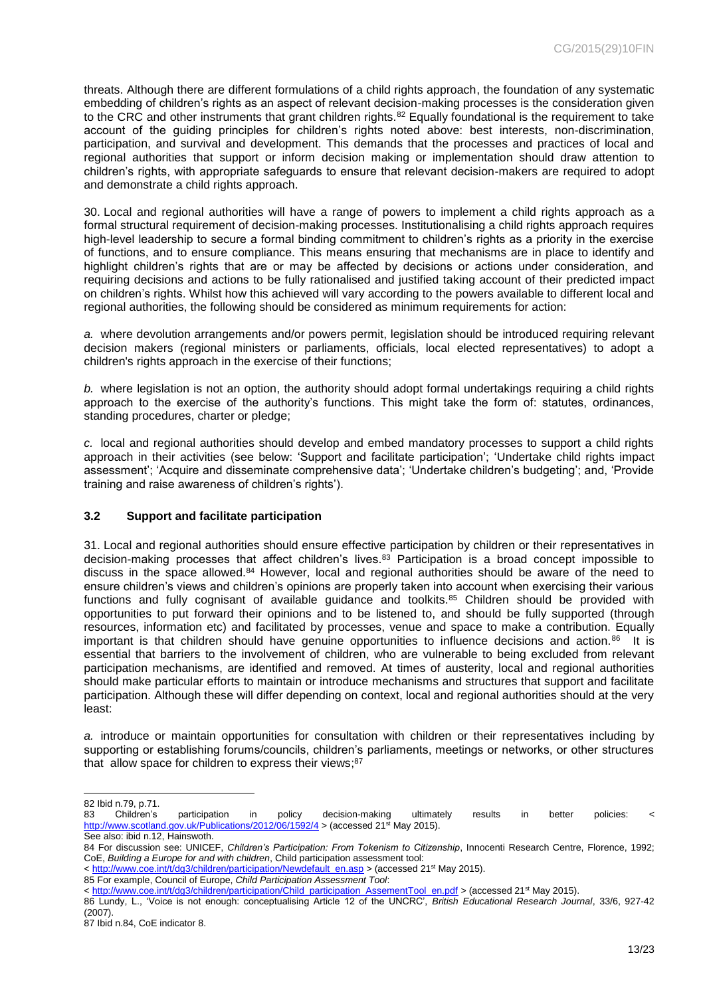threats. Although there are different formulations of a child rights approach, the foundation of any systematic embedding of children's rights as an aspect of relevant decision-making processes is the consideration given to the CRC and other instruments that grant children rights.<sup>82</sup> Equally foundational is the requirement to take account of the guiding principles for children's rights noted above: best interests, non-discrimination, participation, and survival and development. This demands that the processes and practices of local and regional authorities that support or inform decision making or implementation should draw attention to children's rights, with appropriate safeguards to ensure that relevant decision-makers are required to adopt and demonstrate a child rights approach.

30. Local and regional authorities will have a range of powers to implement a child rights approach as a formal structural requirement of decision-making processes. Institutionalising a child rights approach requires high-level leadership to secure a formal binding commitment to children's rights as a priority in the exercise of functions, and to ensure compliance. This means ensuring that mechanisms are in place to identify and highlight children's rights that are or may be affected by decisions or actions under consideration, and requiring decisions and actions to be fully rationalised and justified taking account of their predicted impact on children's rights. Whilst how this achieved will vary according to the powers available to different local and regional authorities, the following should be considered as minimum requirements for action:

*a.* where devolution arrangements and/or powers permit, legislation should be introduced requiring relevant decision makers (regional ministers or parliaments, officials, local elected representatives) to adopt a children's rights approach in the exercise of their functions;

*b.* where legislation is not an option, the authority should adopt formal undertakings requiring a child rights approach to the exercise of the authority's functions. This might take the form of: statutes, ordinances, standing procedures, charter or pledge;

*c.* local and regional authorities should develop and embed mandatory processes to support a child rights approach in their activities (see below: 'Support and facilitate participation'; 'Undertake child rights impact assessment'; 'Acquire and disseminate comprehensive data'; 'Undertake children's budgeting'; and, 'Provide training and raise awareness of children's rights').

#### <span id="page-12-0"></span>**3.2 Support and facilitate participation**

31. Local and regional authorities should ensure effective participation by children or their representatives in decision-making processes that affect children's lives.<sup>83</sup> Participation is a broad concept impossible to discuss in the space allowed.<sup>84</sup> However, local and regional authorities should be aware of the need to ensure children's views and children's opinions are properly taken into account when exercising their various functions and fully cognisant of available guidance and toolkits.<sup>85</sup> Children should be provided with opportunities to put forward their opinions and to be listened to, and should be fully supported (through resources, information etc) and facilitated by processes, venue and space to make a contribution. Equally important is that children should have genuine opportunities to influence decisions and action.<sup>86</sup> It is essential that barriers to the involvement of children, who are vulnerable to being excluded from relevant participation mechanisms, are identified and removed. At times of austerity, local and regional authorities should make particular efforts to maintain or introduce mechanisms and structures that support and facilitate participation. Although these will differ depending on context, local and regional authorities should at the very least:

*a.* introduce or maintain opportunities for consultation with children or their representatives including by supporting or establishing forums/councils, children's parliaments, meetings or networks, or other structures that allow space for children to express their views;<sup>87</sup>

l

<sup>82</sup> Ibid n.79, p.71.

<sup>83</sup> Children's participation in policy decision-making ultimately results in better policies: < <http://www.scotland.gov.uk/Publications/2012/06/1592/4> > (accessed 21<sup>st</sup> May 2015). See also: ibid n.12, Hainswoth.

<sup>84</sup> For discussion see: UNICEF, *Children's Participation: From Tokenism to Citizenship*, Innocenti Research Centre, Florence, 1992; CoE, *[Building a Europe for and with children](http://www.coe.int/t/dg3/children/default_en.asp)*, Child participation assessment tool:

<sup>&</sup>lt; [http://www.coe.int/t/dg3/children/participation/Newdefault\\_en.asp](http://www.coe.int/t/dg3/children/participation/Newdefault_en.asp) > (accessed 21<sup>st</sup> May 2015).

<sup>85</sup> For example, Council of Europe, *Child Participation Assessment Tool*:

<sup>&</sup>lt; [http://www.coe.int/t/dg3/children/participation/Child\\_participation\\_AssementTool\\_en.pdf](http://www.coe.int/t/dg3/children/participation/Child_participation_AssementTool_en.pdf) > (accessed 21st May 2015).

<sup>86</sup> Lundy, L., 'Voice is not enough: conceptualising Article 12 of the UNCRC', *British Educational Research Journal*, 33/6, 927-42 (2007).

<sup>87</sup> Ibid n.84, CoE indicator 8.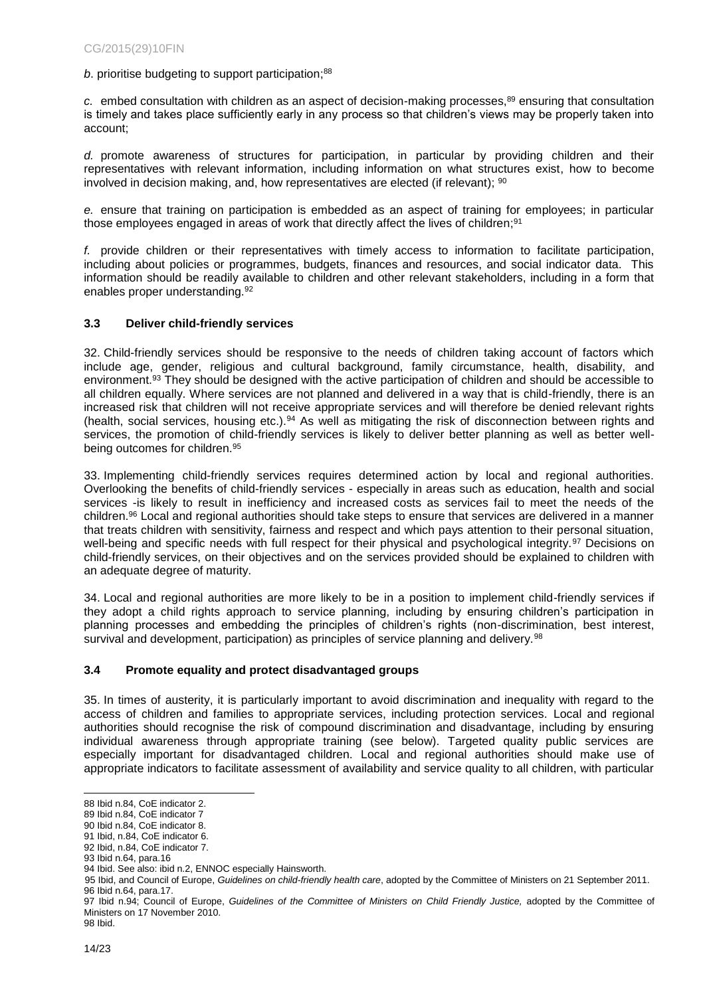#### *b*. prioritise budgeting to support participation; 88

*c.* embed consultation with children as an aspect of decision-making processes,<sup>89</sup> ensuring that consultation is timely and takes place sufficiently early in any process so that children's views may be properly taken into account;

*d.* promote awareness of structures for participation, in particular by providing children and their representatives with relevant information, including information on what structures exist, how to become involved in decision making, and, how representatives are elected (if relevant);  $90$ 

*e.* ensure that training on participation is embedded as an aspect of training for employees; in particular those employees engaged in areas of work that directly affect the lives of children; 91

*f.* provide children or their representatives with timely access to information to facilitate participation, including about policies or programmes, budgets, finances and resources, and social indicator data. This information should be readily available to children and other relevant stakeholders, including in a form that enables proper understanding. 92

#### <span id="page-13-0"></span>**3.3 Deliver child-friendly services**

32. Child-friendly services should be responsive to the needs of children taking account of factors which include age, gender, religious and cultural background, family circumstance, health, disability, and environment.<sup>93</sup> They should be designed with the active participation of children and should be accessible to all children equally. Where services are not planned and delivered in a way that is child-friendly, there is an increased risk that children will not receive appropriate services and will therefore be denied relevant rights (health, social services, housing etc.).<sup>94</sup> As well as mitigating the risk of disconnection between rights and services, the promotion of child-friendly services is likely to deliver better planning as well as better wellbeing outcomes for children.<sup>95</sup>

33. Implementing child-friendly services requires determined action by local and regional authorities. Overlooking the benefits of child-friendly services - especially in areas such as education, health and social services -is likely to result in inefficiency and increased costs as services fail to meet the needs of the children.<sup>96</sup> Local and regional authorities should take steps to ensure that services are delivered in a manner that treats children with sensitivity, fairness and respect and which pays attention to their personal situation, well-being and specific needs with full respect for their physical and psychological integrity.<sup>97</sup> Decisions on child-friendly services, on their objectives and on the services provided should be explained to children with an adequate degree of maturity.

34. Local and regional authorities are more likely to be in a position to implement child-friendly services if they adopt a child rights approach to service planning, including by ensuring children's participation in planning processes and embedding the principles of children's rights (non-discrimination, best interest, survival and development, participation) as principles of service planning and delivery.<sup>98</sup>

#### <span id="page-13-1"></span>**3.4 Promote equality and protect disadvantaged groups**

35. In times of austerity, it is particularly important to avoid discrimination and inequality with regard to the access of children and families to appropriate services, including protection services. Local and regional authorities should recognise the risk of compound discrimination and disadvantage, including by ensuring individual awareness through appropriate training (see below). Targeted quality public services are especially important for disadvantaged children. Local and regional authorities should make use of appropriate indicators to facilitate assessment of availability and service quality to all children, with particular

98 Ibid.

l 88 Ibid n.84, CoE indicator 2.

<sup>89</sup> Ibid n.84, CoE indicator 7

<sup>90</sup> Ibid n.84, CoE indicator 8.

<sup>91</sup> Ibid, n.84, CoE indicator 6.

<sup>92</sup> Ibid, n.84, CoE indicator 7.

<sup>93</sup> Ibid n.64, para.16

<sup>94</sup> Ibid. See also: ibid n.2, ENNOC especially Hainsworth.

<sup>95</sup> Ibid, and Council of Europe, *Guidelines on child-friendly health care*, adopted by the Committee of Ministers on 21 September 2011. 96 Ibid n.64, para.17.

<sup>97</sup> Ibid n.94; Council of Europe, *Guidelines of the Committee of Ministers on Child Friendly Justice*, adopted by the Committee of Ministers on 17 November 2010.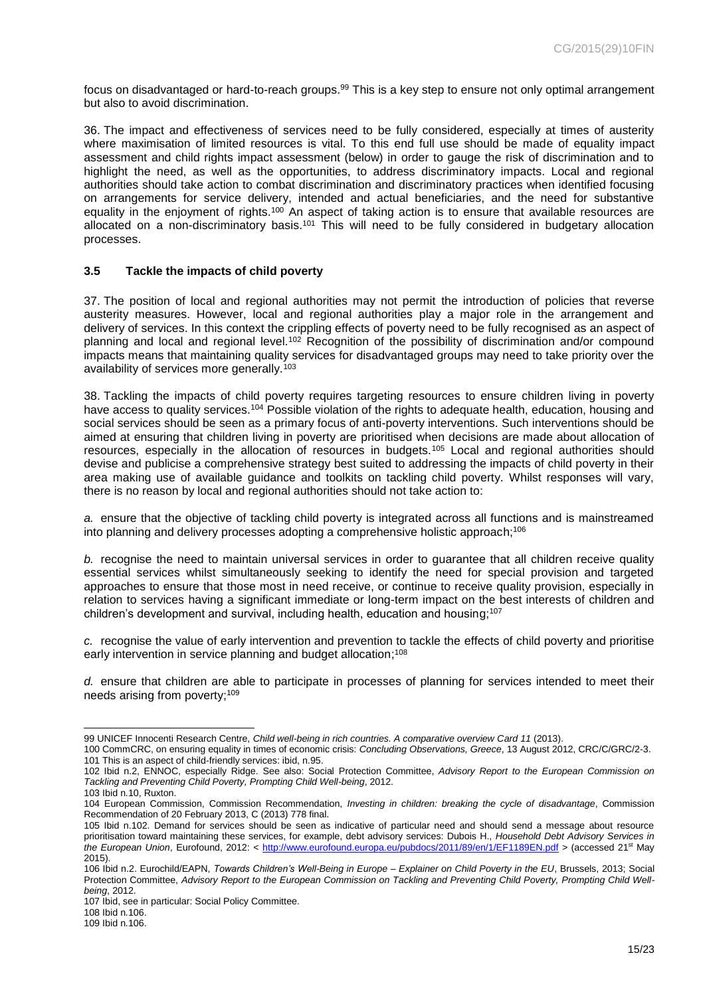focus on disadvantaged or hard-to-reach groups.<sup>99</sup> This is a key step to ensure not only optimal arrangement but also to avoid discrimination.

36. The impact and effectiveness of services need to be fully considered, especially at times of austerity where maximisation of limited resources is vital. To this end full use should be made of equality impact assessment and child rights impact assessment (below) in order to gauge the risk of discrimination and to highlight the need, as well as the opportunities, to address discriminatory impacts. Local and regional authorities should take action to combat discrimination and discriminatory practices when identified focusing on arrangements for service delivery, intended and actual beneficiaries, and the need for substantive equality in the enjoyment of rights.<sup>100</sup> An aspect of taking action is to ensure that available resources are allocated on a non-discriminatory basis.<sup>101</sup> This will need to be fully considered in budgetary allocation processes.

#### <span id="page-14-0"></span>**3.5 Tackle the impacts of child poverty**

37. The position of local and regional authorities may not permit the introduction of policies that reverse austerity measures. However, local and regional authorities play a major role in the arrangement and delivery of services. In this context the crippling effects of poverty need to be fully recognised as an aspect of planning and local and regional level.<sup>102</sup> Recognition of the possibility of discrimination and/or compound impacts means that maintaining quality services for disadvantaged groups may need to take priority over the availability of services more generally.<sup>103</sup>

38. Tackling the impacts of child poverty requires targeting resources to ensure children living in poverty have access to quality services.<sup>104</sup> Possible violation of the rights to adequate health, education, housing and social services should be seen as a primary focus of anti-poverty interventions. Such interventions should be aimed at ensuring that children living in poverty are prioritised when decisions are made about allocation of resources, especially in the allocation of resources in budgets.<sup>105</sup> Local and regional authorities should devise and publicise a comprehensive strategy best suited to addressing the impacts of child poverty in their area making use of available guidance and toolkits on tackling child poverty. Whilst responses will vary, there is no reason by local and regional authorities should not take action to:

*a.* ensure that the objective of tackling child poverty is integrated across all functions and is mainstreamed into planning and delivery processes adopting a comprehensive holistic approach;<sup>106</sup>

*b.* recognise the need to maintain universal services in order to guarantee that all children receive quality essential services whilst simultaneously seeking to identify the need for special provision and targeted approaches to ensure that those most in need receive, or continue to receive quality provision, especially in relation to services having a significant immediate or long-term impact on the best interests of children and children's development and survival, including health, education and housing;<sup>107</sup>

*c.* recognise the value of early intervention and prevention to tackle the effects of child poverty and prioritise early intervention in service planning and budget allocation; 108

*d.* ensure that children are able to participate in processes of planning for services intended to meet their needs arising from poverty;<sup>109</sup>

108 Ibid n.106.

l 99 UNICEF Innocenti Research Centre, *Child well-being in rich countries. A comparative overview Card 11* (2013).

<sup>100</sup> CommCRC, on ensuring equality in times of economic crisis: *Concluding Observations, Greece*, 13 August 2012, CRC/C/GRC/2-3. 101 This is an aspect of child-friendly services: ibid, n.95.

<sup>102</sup> Ibid n.2, ENNOC, especially Ridge. See also: Social Protection Committee, *Advisory Report to the European Commission on Tackling and Preventing Child Poverty, Prompting Child Well-being*, 2012.

<sup>103</sup> Ibid n.10, Ruxton.

<sup>104</sup> European Commission, Commission Recommendation, *Investing in children: breaking the cycle of disadvantage*, Commission Recommendation of 20 February 2013, C (2013) 778 final.

<sup>105</sup> Ibid n.102. Demand for services should be seen as indicative of particular need and should send a message about resource prioritisation toward maintaining these services, for example, debt advisory services: Dubois H., *Household Debt Advisory Services in the European Union*, Eurofound, 2012: <<http://www.eurofound.europa.eu/pubdocs/2011/89/en/1/EF1189EN.pdf> > (accessed 21st May 2015).

<sup>106</sup> Ibid n.2. Eurochild/EAPN, *Towards Children's Well-Being in Europe – Explainer on Child Poverty in the EU*, Brussels, 2013; Social Protection Committee, *Advisory Report to the European Commission on Tackling and Preventing Child Poverty, Prompting Child Wellbeing*, 2012.

<sup>107</sup> Ibid, see in particular: Social Policy Committee.

<sup>109</sup> Ibid n.106.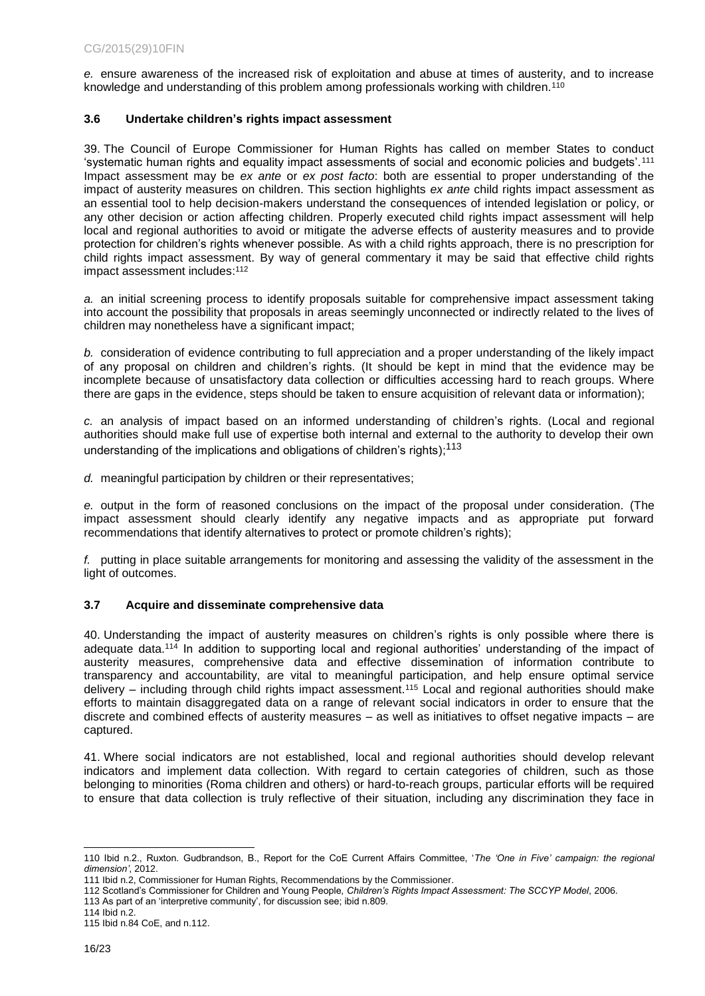*e.* ensure awareness of the increased risk of exploitation and abuse at times of austerity, and to increase knowledge and understanding of this problem among professionals working with children. $^{\rm 110}$ 

#### <span id="page-15-0"></span>**3.6 Undertake children's rights impact assessment**

39. The Council of Europe Commissioner for Human Rights has called on member States to conduct 'systematic human rights and equality impact assessments of social and economic policies and budgets'.<sup>111</sup> Impact assessment may be *ex ante* or *ex post facto*: both are essential to proper understanding of the impact of austerity measures on children. This section highlights *ex ante* child rights impact assessment as an essential tool to help decision-makers understand the consequences of intended legislation or policy, or any other decision or action affecting children. Properly executed child rights impact assessment will help local and regional authorities to avoid or mitigate the adverse effects of austerity measures and to provide protection for children's rights whenever possible. As with a child rights approach, there is no prescription for child rights impact assessment. By way of general commentary it may be said that effective child rights impact assessment includes: 112

*a.* an initial screening process to identify proposals suitable for comprehensive impact assessment taking into account the possibility that proposals in areas seemingly unconnected or indirectly related to the lives of children may nonetheless have a significant impact;

*b.* consideration of evidence contributing to full appreciation and a proper understanding of the likely impact of any proposal on children and children's rights. (It should be kept in mind that the evidence may be incomplete because of unsatisfactory data collection or difficulties accessing hard to reach groups. Where there are gaps in the evidence, steps should be taken to ensure acquisition of relevant data or information);

*c.* an analysis of impact based on an informed understanding of children's rights. (Local and regional authorities should make full use of expertise both internal and external to the authority to develop their own understanding of the implications and obligations of children's rights);<sup>113</sup>

*d.* meaningful participation by children or their representatives;

*e.* output in the form of reasoned conclusions on the impact of the proposal under consideration. (The impact assessment should clearly identify any negative impacts and as appropriate put forward recommendations that identify alternatives to protect or promote children's rights);

*f.* putting in place suitable arrangements for monitoring and assessing the validity of the assessment in the light of outcomes.

#### <span id="page-15-1"></span>**3.7 Acquire and disseminate comprehensive data**

40. Understanding the impact of austerity measures on children's rights is only possible where there is adequate data.<sup>114</sup> In addition to supporting local and regional authorities' understanding of the impact of austerity measures, comprehensive data and effective dissemination of information contribute to transparency and accountability, are vital to meaningful participation, and help ensure optimal service delivery – including through child rights impact assessment.<sup>115</sup> Local and regional authorities should make efforts to maintain disaggregated data on a range of relevant social indicators in order to ensure that the discrete and combined effects of austerity measures – as well as initiatives to offset negative impacts – are captured.

41. Where social indicators are not established, local and regional authorities should develop relevant indicators and implement data collection. With regard to certain categories of children, such as those belonging to minorities (Roma children and others) or hard-to-reach groups, particular efforts will be required to ensure that data collection is truly reflective of their situation, including any discrimination they face in

l 110 Ibid n.2., Ruxton. Gudbrandson, B., Report for the CoE Current Affairs Committee, '*The 'One in Five' campaign: the regional dimension'*, 2012.

<sup>111</sup> Ibid n.2, Commissioner for Human Rights, Recommendations by the Commissioner.

<sup>112</sup> Scotland's Commissioner for Children and Young People, *Children's Rights Impact Assessment: The SCCYP Model*, 2006.

<sup>113</sup> As part of an 'interpretive community', for discussion see; ibid n.809.

<sup>114</sup> Ibid n.2.

<sup>115</sup> Ibid n.84 CoE, and n.112.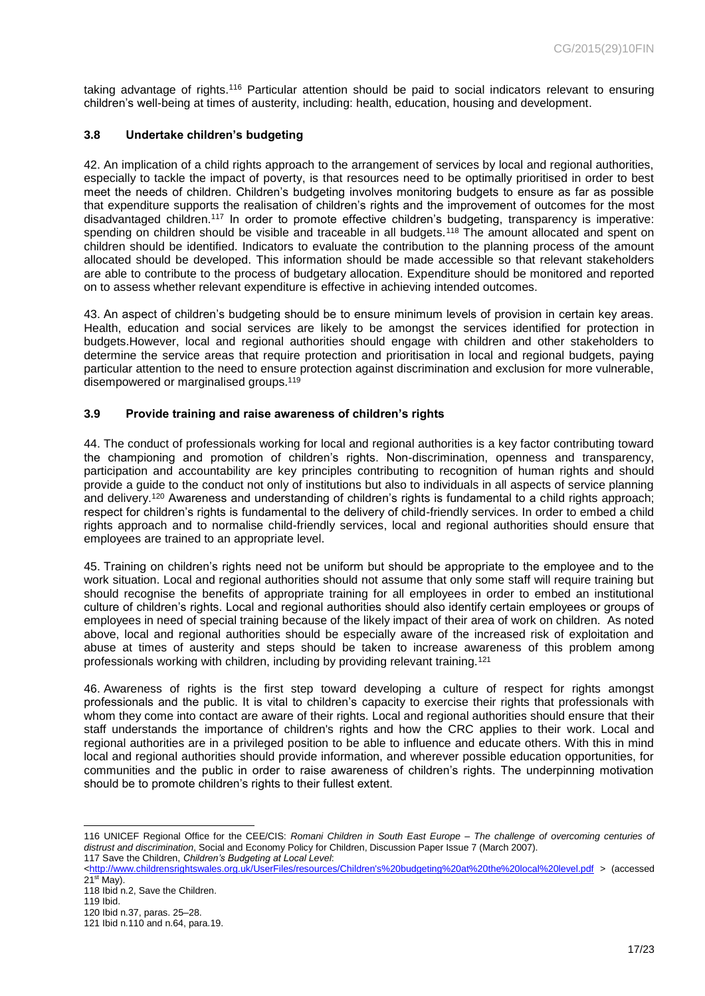taking advantage of rights.<sup>116</sup> Particular attention should be paid to social indicators relevant to ensuring children's well-being at times of austerity, including: health, education, housing and development.

#### <span id="page-16-0"></span>**3.8 Undertake children's budgeting**

42. An implication of a child rights approach to the arrangement of services by local and regional authorities, especially to tackle the impact of poverty, is that resources need to be optimally prioritised in order to best meet the needs of children. Children's budgeting involves monitoring budgets to ensure as far as possible that expenditure supports the realisation of children's rights and the improvement of outcomes for the most disadvantaged children.<sup>117</sup> In order to promote effective children's budgeting, transparency is imperative: spending on children should be visible and traceable in all budgets.<sup>118</sup> The amount allocated and spent on children should be identified. Indicators to evaluate the contribution to the planning process of the amount allocated should be developed. This information should be made accessible so that relevant stakeholders are able to contribute to the process of budgetary allocation. Expenditure should be monitored and reported on to assess whether relevant expenditure is effective in achieving intended outcomes.

43. An aspect of children's budgeting should be to ensure minimum levels of provision in certain key areas. Health, education and social services are likely to be amongst the services identified for protection in budgets.However, local and regional authorities should engage with children and other stakeholders to determine the service areas that require protection and prioritisation in local and regional budgets, paying particular attention to the need to ensure protection against discrimination and exclusion for more vulnerable, disempowered or marginalised groups.<sup>119</sup>

#### <span id="page-16-1"></span>**3.9 Provide training and raise awareness of children's rights**

44. The conduct of professionals working for local and regional authorities is a key factor contributing toward the championing and promotion of children's rights. Non-discrimination, openness and transparency, participation and accountability are key principles contributing to recognition of human rights and should provide a guide to the conduct not only of institutions but also to individuals in all aspects of service planning and delivery.<sup>120</sup> Awareness and understanding of children's rights is fundamental to a child rights approach; respect for children's rights is fundamental to the delivery of child-friendly services. In order to embed a child rights approach and to normalise child-friendly services, local and regional authorities should ensure that employees are trained to an appropriate level.

45. Training on children's rights need not be uniform but should be appropriate to the employee and to the work situation. Local and regional authorities should not assume that only some staff will require training but should recognise the benefits of appropriate training for all employees in order to embed an institutional culture of children's rights. Local and regional authorities should also identify certain employees or groups of employees in need of special training because of the likely impact of their area of work on children. As noted above, local and regional authorities should be especially aware of the increased risk of exploitation and abuse at times of austerity and steps should be taken to increase awareness of this problem among professionals working with children, including by providing relevant training.<sup>121</sup>

46. Awareness of rights is the first step toward developing a culture of respect for rights amongst professionals and the public. It is vital to children's capacity to exercise their rights that professionals with whom they come into contact are aware of their rights. Local and regional authorities should ensure that their staff understands the importance of children's rights and how the CRC applies to their work. Local and regional authorities are in a privileged position to be able to influence and educate others. With this in mind local and regional authorities should provide information, and wherever possible education opportunities, for communities and the public in order to raise awareness of children's rights. The underpinning motivation should be to promote children's rights to their fullest extent.

l 116 UNICEF Regional Office for the CEE/CIS: *Romani Children in South East Europe – The challenge of overcoming centuries of distrust and discrimination*, Social and Economy Policy for Children, Discussion Paper Issue 7 (March 2007). 117 Save the Children, *Children's Budgeting at Local Level*:

[<sup>&</sup>lt;http://www.childrensrightswales.org.uk/UserFiles/resources/Children's%20budgeting%20at%20the%20local%20level.pdf](http://www.childrensrightswales.org.uk/UserFiles/resources/Children) > (accessed  $21<sup>st</sup>$  May).

<sup>118</sup> Ibid n.2, Save the Children.

<sup>119</sup> Ibid.

<sup>120</sup> Ibid n.37, paras. 25–28.

<sup>121</sup> Ibid n.110 and n.64, para.19.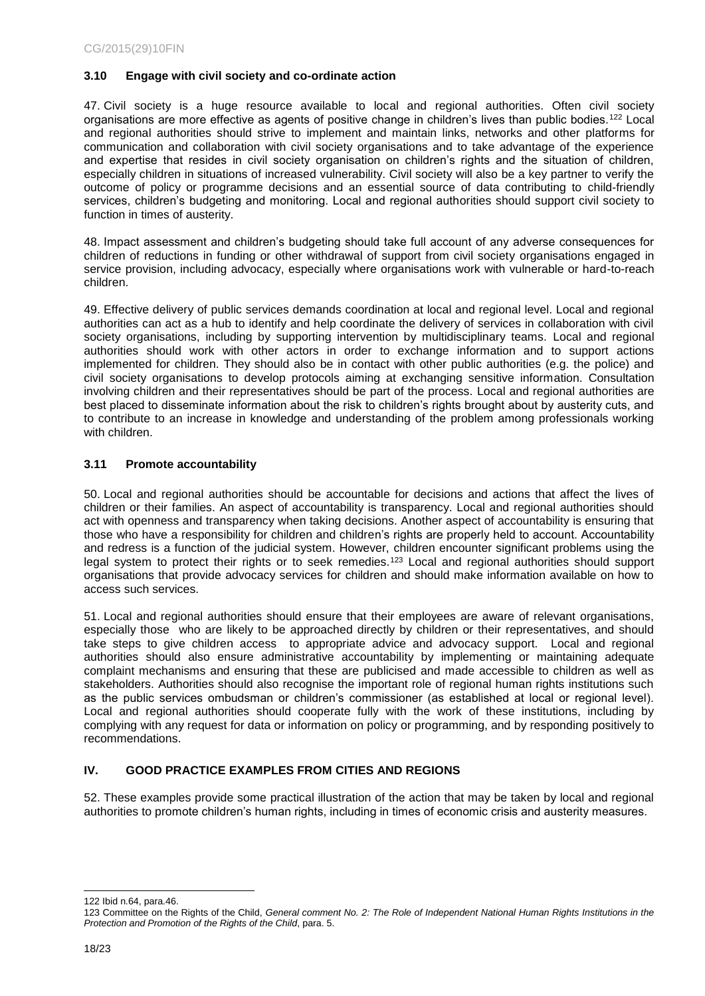#### <span id="page-17-0"></span>**3.10 Engage with civil society and co-ordinate action**

47. Civil society is a huge resource available to local and regional authorities. Often civil society organisations are more effective as agents of positive change in children's lives than public bodies.<sup>122</sup> Local and regional authorities should strive to implement and maintain links, networks and other platforms for communication and collaboration with civil society organisations and to take advantage of the experience and expertise that resides in civil society organisation on children's rights and the situation of children, especially children in situations of increased vulnerability. Civil society will also be a key partner to verify the outcome of policy or programme decisions and an essential source of data contributing to child-friendly services, children's budgeting and monitoring. Local and regional authorities should support civil society to function in times of austerity.

48. Impact assessment and children's budgeting should take full account of any adverse consequences for children of reductions in funding or other withdrawal of support from civil society organisations engaged in service provision, including advocacy, especially where organisations work with vulnerable or hard-to-reach children.

49. Effective delivery of public services demands coordination at local and regional level. Local and regional authorities can act as a hub to identify and help coordinate the delivery of services in collaboration with civil society organisations, including by supporting intervention by multidisciplinary teams. Local and regional authorities should work with other actors in order to exchange information and to support actions implemented for children. They should also be in contact with other public authorities (e.g. the police) and civil society organisations to develop protocols aiming at exchanging sensitive information. Consultation involving children and their representatives should be part of the process. Local and regional authorities are best placed to disseminate information about the risk to children's rights brought about by austerity cuts, and to contribute to an increase in knowledge and understanding of the problem among professionals working with children.

#### <span id="page-17-1"></span>**3.11 Promote accountability**

50. Local and regional authorities should be accountable for decisions and actions that affect the lives of children or their families. An aspect of accountability is transparency. Local and regional authorities should act with openness and transparency when taking decisions. Another aspect of accountability is ensuring that those who have a responsibility for children and children's rights are properly held to account. Accountability and redress is a function of the judicial system. However, children encounter significant problems using the legal system to protect their rights or to seek remedies.<sup>123</sup> Local and regional authorities should support organisations that provide advocacy services for children and should make information available on how to access such services.

51. Local and regional authorities should ensure that their employees are aware of relevant organisations, especially those who are likely to be approached directly by children or their representatives, and should take steps to give children access to appropriate advice and advocacy support. Local and regional authorities should also ensure administrative accountability by implementing or maintaining adequate complaint mechanisms and ensuring that these are publicised and made accessible to children as well as stakeholders. Authorities should also recognise the important role of regional human rights institutions such as the public services ombudsman or children's commissioner (as established at local or regional level). Local and regional authorities should cooperate fully with the work of these institutions, including by complying with any request for data or information on policy or programming, and by responding positively to recommendations.

#### <span id="page-17-2"></span>**IV. GOOD PRACTICE EXAMPLES FROM CITIES AND REGIONS**

52. These examples provide some practical illustration of the action that may be taken by local and regional authorities to promote children's human rights, including in times of economic crisis and austerity measures.

l 122 Ibid n.64, para.46.

<sup>123</sup> Committee on the Rights of the Child, *General comment No. 2: The Role of Independent National Human Rights Institutions in the Protection and Promotion of the Rights of the Child*, para. 5.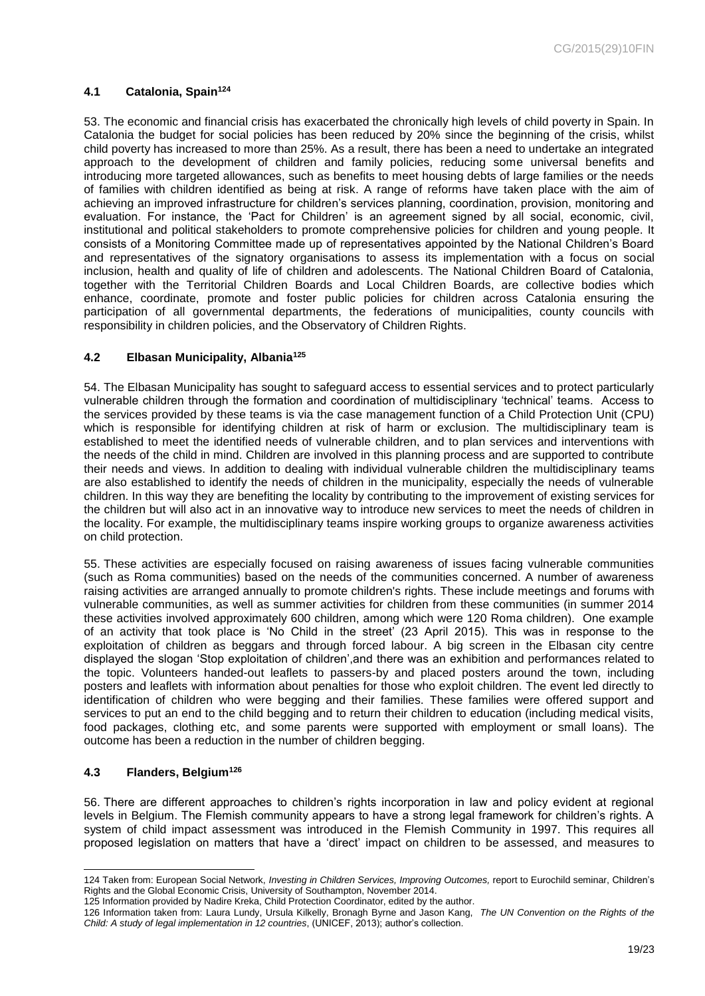### <span id="page-18-0"></span>**4.1 Catalonia, Spain<sup>124</sup>**

53. The economic and financial crisis has exacerbated the chronically high levels of child poverty in Spain. In Catalonia the budget for social policies has been reduced by 20% since the beginning of the crisis, whilst child poverty has increased to more than 25%. As a result, there has been a need to undertake an integrated approach to the development of children and family policies, reducing some universal benefits and introducing more targeted allowances, such as benefits to meet housing debts of large families or the needs of families with children identified as being at risk. A range of reforms have taken place with the aim of achieving an improved infrastructure for children's services planning, coordination, provision, monitoring and evaluation. For instance, the 'Pact for Children' is an agreement signed by all social, economic, civil, institutional and political stakeholders to promote comprehensive policies for children and young people. It consists of a Monitoring Committee made up of representatives appointed by the National Children's Board and representatives of the signatory organisations to assess its implementation with a focus on social inclusion, health and quality of life of children and adolescents. The National Children Board of Catalonia, together with the Territorial Children Boards and Local Children Boards, are collective bodies which enhance, coordinate, promote and foster public policies for children across Catalonia ensuring the participation of all governmental departments, the federations of municipalities, county councils with responsibility in children policies, and the Observatory of Children Rights.

#### <span id="page-18-1"></span>**4.2 Elbasan Municipality, Albania<sup>125</sup>**

54. The Elbasan Municipality has sought to safeguard access to essential services and to protect particularly vulnerable children through the formation and coordination of multidisciplinary 'technical' teams. Access to the services provided by these teams is via the case management function of a Child Protection Unit (CPU) which is responsible for identifying children at risk of harm or exclusion. The multidisciplinary team is established to meet the identified needs of vulnerable children, and to plan services and interventions with the needs of the child in mind. Children are involved in this planning process and are supported to contribute their needs and views. In addition to dealing with individual vulnerable children the multidisciplinary teams are also established to identify the needs of children in the municipality, especially the needs of vulnerable children. In this way they are benefiting the locality by contributing to the improvement of existing services for the children but will also act in an innovative way to introduce new services to meet the needs of children in the locality. For example, the multidisciplinary teams inspire working groups to organize awareness activities on child protection.

55. These activities are especially focused on raising awareness of issues facing vulnerable communities (such as Roma communities) based on the needs of the communities concerned. A number of awareness raising activities are arranged annually to promote children's rights. These include meetings and forums with vulnerable communities, as well as summer activities for children from these communities (in summer 2014 these activities involved approximately 600 children, among which were 120 Roma children). One example of an activity that took place is 'No Child in the street' (23 April 2015). This was in response to the exploitation of children as beggars and through forced labour. A big screen in the Elbasan city centre displayed the slogan 'Stop exploitation of children',and there was an exhibition and performances related to the topic. Volunteers handed-out leaflets to passers-by and placed posters around the town, including posters and leaflets with information about penalties for those who exploit children. The event led directly to identification of children who were begging and their families. These families were offered support and services to put an end to the child begging and to return their children to education (including medical visits, food packages, clothing etc, and some parents were supported with employment or small loans). The outcome has been a reduction in the number of children begging.

#### <span id="page-18-2"></span>**4.3 Flanders, Belgium<sup>126</sup>**

l

56. There are different approaches to children's rights incorporation in law and policy evident at regional levels in Belgium. The Flemish community appears to have a strong legal framework for children's rights. A system of child impact assessment was introduced in the Flemish Community in 1997. This requires all proposed legislation on matters that have a 'direct' impact on children to be assessed, and measures to

<sup>124</sup> Taken from: European Social Network, *Investing in Children Services, Improving Outcomes,* report to Eurochild seminar, Children's Rights and the Global Economic Crisis, University of Southampton, November 2014.

<sup>125</sup> Information provided by Nadire Kreka, Child Protection Coordinator, edited by the author.

<sup>126</sup> Information taken from: Laura Lundy, Ursula Kilkelly, Bronagh Byrne and Jason Kang, *The UN Convention on the Rights of the Child: A study of legal implementation in 12 countries*, (UNICEF, 2013); author's collection.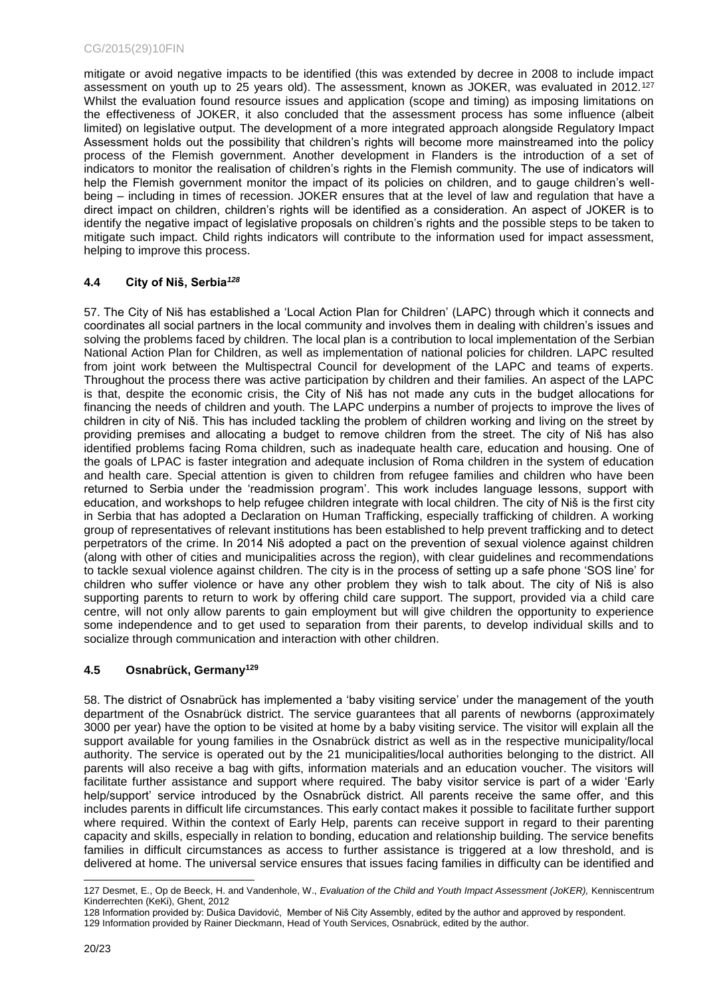mitigate or avoid negative impacts to be identified (this was extended by decree in 2008 to include impact assessment on youth up to 25 years old). The assessment, known as JOKER, was evaluated in 2012.<sup>127</sup> Whilst the evaluation found resource issues and application (scope and timing) as imposing limitations on the effectiveness of JOKER, it also concluded that the assessment process has some influence (albeit limited) on legislative output. The development of a more integrated approach alongside Regulatory Impact Assessment holds out the possibility that children's rights will become more mainstreamed into the policy process of the Flemish government. Another development in Flanders is the introduction of a set of indicators to monitor the realisation of children's rights in the Flemish community. The use of indicators will help the Flemish government monitor the impact of its policies on children, and to gauge children's wellbeing – including in times of recession. JOKER ensures that at the level of law and regulation that have a direct impact on children, children's rights will be identified as a consideration. An aspect of JOKER is to identify the negative impact of legislative proposals on children's rights and the possible steps to be taken to mitigate such impact. Child rights indicators will contribute to the information used for impact assessment, helping to improve this process.

## <span id="page-19-0"></span>**4.4 City of Niš, Serbia***<sup>128</sup>*

57. The City of Niš has established a 'Local Action Plan for Children' (LAPC) through which it connects and coordinates all social partners in the local community and involves them in dealing with children's issues and solving the problems faced by children. The local plan is a contribution to local implementation of the Serbian National Action Plan for Children, as well as implementation of national policies for children. LAPC resulted from joint work between the Multispectral Council for development of the LAPC and teams of experts. Throughout the process there was active participation by children and their families. An aspect of the LAPC is that, despite the economic crisis, the City of Niš has not made any cuts in the budget allocations for financing the needs of children and youth. The LAPC underpins a number of projects to improve the lives of children in city of Niš. This has included tackling the problem of children working and living on the street by providing premises and allocating a budget to remove children from the street. The city of Niš has also identified problems facing Roma children, such as inadequate health care, education and housing. One of the goals of LPAC is faster integration and adequate inclusion of Roma children in the system of education and health care. Special attention is given to children from refugee families and children who have been returned to Serbia under the 'readmission program'. This work includes language lessons, support with education, and workshops to help refugee children integrate with local children. The city of Niš is the first city in Serbia that has adopted a Declaration on Human Trafficking, especially trafficking of children. A working group of representatives of relevant institutions has been established to help prevent trafficking and to detect perpetrators of the crime. In 2014 Niš adopted a pact on the prevention of sexual violence against children (along with other of cities and municipalities across the region), with clear guidelines and recommendations to tackle sexual violence against children. The city is in the process of setting up a safe phone 'SOS line' for children who suffer violence or have any other problem they wish to talk about. The city of Niš is also supporting parents to return to work by offering child care support. The support, provided via a child care centre, will not only allow parents to gain employment but will give children the opportunity to experience some independence and to get used to separation from their parents, to develop individual skills and to socialize through communication and interaction with other children.

#### <span id="page-19-1"></span>**4.5 Osnabrück, Germany<sup>129</sup>**

58. The district of Osnabrück has implemented a 'baby visiting service' under the management of the youth department of the Osnabrück district. The service guarantees that all parents of newborns (approximately 3000 per year) have the option to be visited at home by a baby visiting service. The visitor will explain all the support available for young families in the Osnabrück district as well as in the respective municipality/local authority. The service is operated out by the 21 municipalities/local authorities belonging to the district. All parents will also receive a bag with gifts, information materials and an education voucher. The visitors will facilitate further assistance and support where required. The baby visitor service is part of a wider 'Early help/support' service introduced by the Osnabrück district. All parents receive the same offer, and this includes parents in difficult life circumstances. This early contact makes it possible to facilitate further support where required. Within the context of Early Help, parents can receive support in regard to their parenting capacity and skills, especially in relation to bonding, education and relationship building. The service benefits families in difficult circumstances as access to further assistance is triggered at a low threshold, and is delivered at home. The universal service ensures that issues facing families in difficulty can be identified and

l 127 Desmet, E., Op de Beeck, H. and Vandenhole, W., *Evaluation of the Child and Youth Impact Assessment (JoKER),* Kenniscentrum Kinderrechten (KeKi), Ghent, 2012

<sup>128</sup> Information provided by: Dušica Davidović, Member of Niš City Assembly, edited by the author and approved by respondent. 129 Information provided by Rainer Dieckmann, Head of Youth Services, Osnabrück, edited by the author.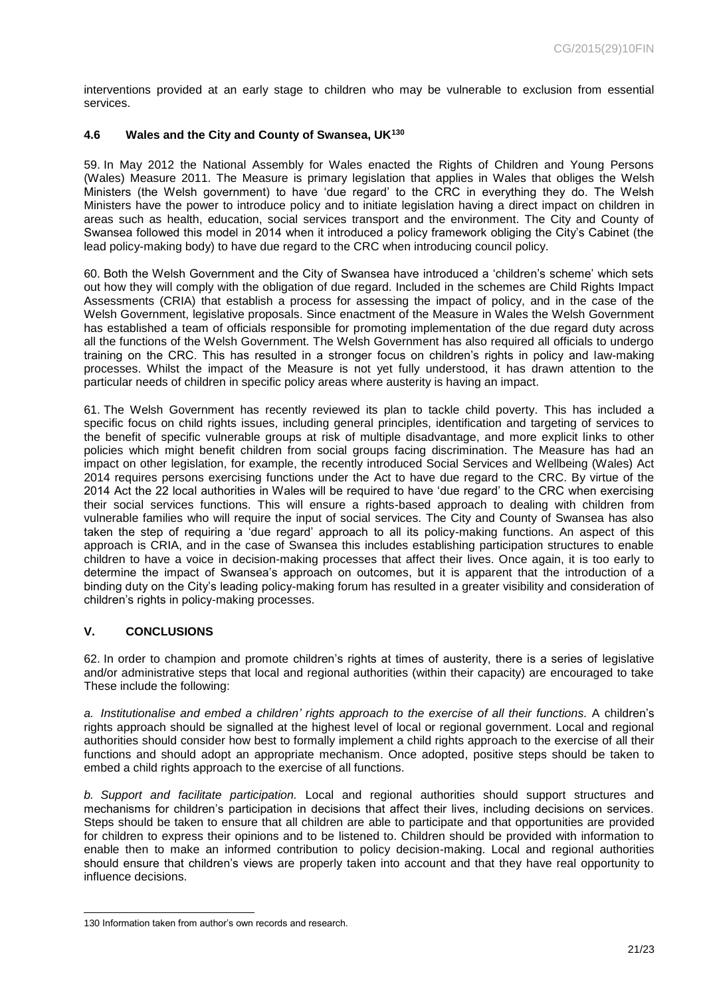interventions provided at an early stage to children who may be vulnerable to exclusion from essential services.

#### <span id="page-20-0"></span>**4.6 Wales and the City and County of Swansea, UK<sup>130</sup>**

59. In May 2012 the National Assembly for Wales enacted the Rights of Children and Young Persons (Wales) Measure 2011. The Measure is primary legislation that applies in Wales that obliges the Welsh Ministers (the Welsh government) to have 'due regard' to the CRC in everything they do. The Welsh Ministers have the power to introduce policy and to initiate legislation having a direct impact on children in areas such as health, education, social services transport and the environment. The City and County of Swansea followed this model in 2014 when it introduced a policy framework obliging the City's Cabinet (the lead policy-making body) to have due regard to the CRC when introducing council policy.

60. Both the Welsh Government and the City of Swansea have introduced a 'children's scheme' which sets out how they will comply with the obligation of due regard. Included in the schemes are Child Rights Impact Assessments (CRIA) that establish a process for assessing the impact of policy, and in the case of the Welsh Government, legislative proposals. Since enactment of the Measure in Wales the Welsh Government has established a team of officials responsible for promoting implementation of the due regard duty across all the functions of the Welsh Government. The Welsh Government has also required all officials to undergo training on the CRC. This has resulted in a stronger focus on children's rights in policy and law-making processes. Whilst the impact of the Measure is not yet fully understood, it has drawn attention to the particular needs of children in specific policy areas where austerity is having an impact.

61. The Welsh Government has recently reviewed its plan to tackle child poverty. This has included a specific focus on child rights issues, including general principles, identification and targeting of services to the benefit of specific vulnerable groups at risk of multiple disadvantage, and more explicit links to other policies which might benefit children from social groups facing discrimination. The Measure has had an impact on other legislation, for example, the recently introduced Social Services and Wellbeing (Wales) Act 2014 requires persons exercising functions under the Act to have due regard to the CRC. By virtue of the 2014 Act the 22 local authorities in Wales will be required to have 'due regard' to the CRC when exercising their social services functions. This will ensure a rights-based approach to dealing with children from vulnerable families who will require the input of social services. The City and County of Swansea has also taken the step of requiring a 'due regard' approach to all its policy-making functions. An aspect of this approach is CRIA, and in the case of Swansea this includes establishing participation structures to enable children to have a voice in decision-making processes that affect their lives. Once again, it is too early to determine the impact of Swansea's approach on outcomes, but it is apparent that the introduction of a binding duty on the City's leading policy-making forum has resulted in a greater visibility and consideration of children's rights in policy-making processes.

#### <span id="page-20-1"></span>**V. CONCLUSIONS**

62. In order to champion and promote children's rights at times of austerity, there is a series of legislative and/or administrative steps that local and regional authorities (within their capacity) are encouraged to take These include the following:

*a. Institutionalise and embed a children' rights approach to the exercise of all their functions.* A children's rights approach should be signalled at the highest level of local or regional government. Local and regional authorities should consider how best to formally implement a child rights approach to the exercise of all their functions and should adopt an appropriate mechanism. Once adopted, positive steps should be taken to embed a child rights approach to the exercise of all functions.

*b. Support and facilitate participation.* Local and regional authorities should support structures and mechanisms for children's participation in decisions that affect their lives, including decisions on services. Steps should be taken to ensure that all children are able to participate and that opportunities are provided for children to express their opinions and to be listened to. Children should be provided with information to enable then to make an informed contribution to policy decision-making. Local and regional authorities should ensure that children's views are properly taken into account and that they have real opportunity to influence decisions.

l 130 Information taken from author's own records and research.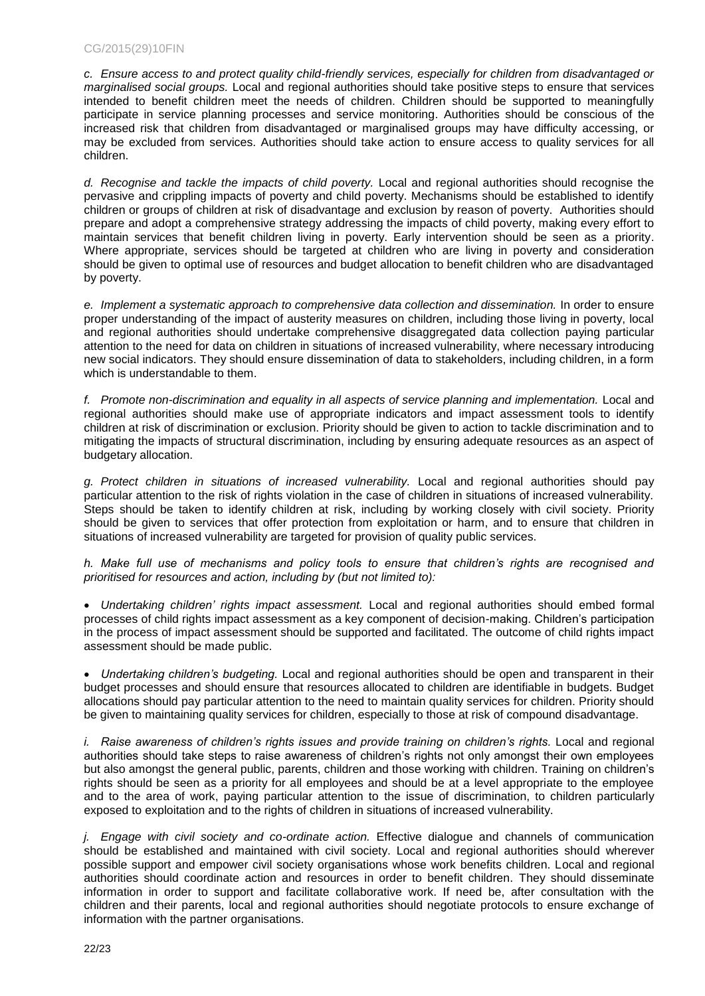*c. Ensure access to and protect quality child-friendly services, especially for children from disadvantaged or marginalised social groups.* Local and regional authorities should take positive steps to ensure that services intended to benefit children meet the needs of children. Children should be supported to meaningfully participate in service planning processes and service monitoring. Authorities should be conscious of the increased risk that children from disadvantaged or marginalised groups may have difficulty accessing, or may be excluded from services. Authorities should take action to ensure access to quality services for all children.

*d. Recognise and tackle the impacts of child poverty.* Local and regional authorities should recognise the pervasive and crippling impacts of poverty and child poverty. Mechanisms should be established to identify children or groups of children at risk of disadvantage and exclusion by reason of poverty. Authorities should prepare and adopt a comprehensive strategy addressing the impacts of child poverty, making every effort to maintain services that benefit children living in poverty. Early intervention should be seen as a priority. Where appropriate, services should be targeted at children who are living in poverty and consideration should be given to optimal use of resources and budget allocation to benefit children who are disadvantaged by poverty.

*e. Implement a systematic approach to comprehensive data collection and dissemination.* In order to ensure proper understanding of the impact of austerity measures on children, including those living in poverty, local and regional authorities should undertake comprehensive disaggregated data collection paying particular attention to the need for data on children in situations of increased vulnerability, where necessary introducing new social indicators. They should ensure dissemination of data to stakeholders, including children, in a form which is understandable to them.

*f. Promote non-discrimination and equality in all aspects of service planning and implementation.* Local and regional authorities should make use of appropriate indicators and impact assessment tools to identify children at risk of discrimination or exclusion. Priority should be given to action to tackle discrimination and to mitigating the impacts of structural discrimination, including by ensuring adequate resources as an aspect of budgetary allocation.

*g. Protect children in situations of increased vulnerability.* Local and regional authorities should pay particular attention to the risk of rights violation in the case of children in situations of increased vulnerability. Steps should be taken to identify children at risk, including by working closely with civil society. Priority should be given to services that offer protection from exploitation or harm, and to ensure that children in situations of increased vulnerability are targeted for provision of quality public services.

*h. Make full use of mechanisms and policy tools to ensure that children's rights are recognised and prioritised for resources and action, including by (but not limited to):* 

 *Undertaking children' rights impact assessment.* Local and regional authorities should embed formal processes of child rights impact assessment as a key component of decision-making. Children's participation in the process of impact assessment should be supported and facilitated. The outcome of child rights impact assessment should be made public.

 *Undertaking children's budgeting.* Local and regional authorities should be open and transparent in their budget processes and should ensure that resources allocated to children are identifiable in budgets. Budget allocations should pay particular attention to the need to maintain quality services for children. Priority should be given to maintaining quality services for children, especially to those at risk of compound disadvantage.

*i. Raise awareness of children's rights issues and provide training on children's rights.* Local and regional authorities should take steps to raise awareness of children's rights not only amongst their own employees but also amongst the general public, parents, children and those working with children. Training on children's rights should be seen as a priority for all employees and should be at a level appropriate to the employee and to the area of work, paying particular attention to the issue of discrimination, to children particularly exposed to exploitation and to the rights of children in situations of increased vulnerability.

*j. Engage with civil society and co-ordinate action.* Effective dialogue and channels of communication should be established and maintained with civil society. Local and regional authorities should wherever possible support and empower civil society organisations whose work benefits children. Local and regional authorities should coordinate action and resources in order to benefit children. They should disseminate information in order to support and facilitate collaborative work. If need be, after consultation with the children and their parents, local and regional authorities should negotiate protocols to ensure exchange of information with the partner organisations.